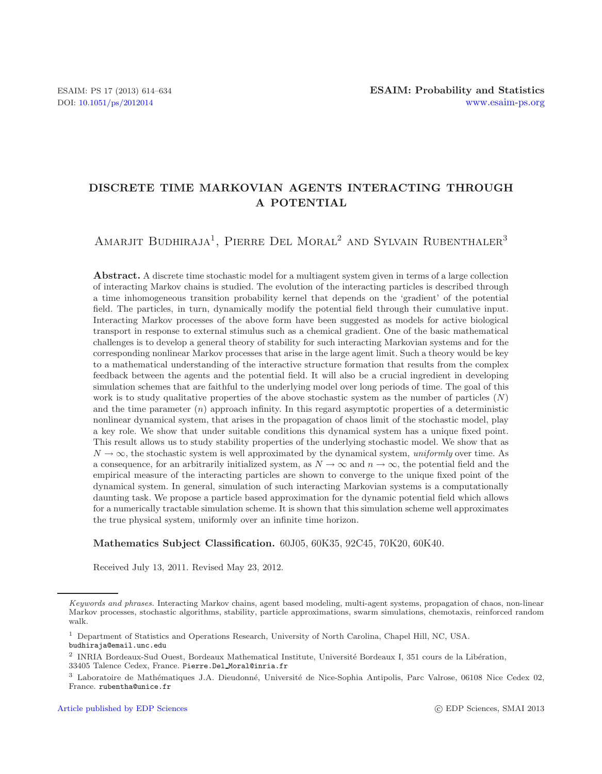## **DISCRETE TIME MARKOVIAN AGENTS INTERACTING THROUGH A POTENTIAL**

# AMARJIT BUDHIRAJA<sup>1</sup>, PIERRE DEL MORAL<sup>2</sup> AND SYLVAIN RUBENTHALER<sup>3</sup>

**Abstract.** A discrete time stochastic model for a multiagent system given in terms of a large collection of interacting Markov chains is studied. The evolution of the interacting particles is described through a time inhomogeneous transition probability kernel that depends on the 'gradient' of the potential field. The particles, in turn, dynamically modify the potential field through their cumulative input. Interacting Markov processes of the above form have been suggested as models for active biological transport in response to external stimulus such as a chemical gradient. One of the basic mathematical challenges is to develop a general theory of stability for such interacting Markovian systems and for the corresponding nonlinear Markov processes that arise in the large agent limit. Such a theory would be key to a mathematical understanding of the interactive structure formation that results from the complex feedback between the agents and the potential field. It will also be a crucial ingredient in developing simulation schemes that are faithful to the underlying model over long periods of time. The goal of this work is to study qualitative properties of the above stochastic system as the number of particles (*N*) and the time parameter (*n*) approach infinity. In this regard asymptotic properties of a deterministic nonlinear dynamical system, that arises in the propagation of chaos limit of the stochastic model, play a key role. We show that under suitable conditions this dynamical system has a unique fixed point. This result allows us to study stability properties of the underlying stochastic model. We show that as  $N \to \infty$ , the stochastic system is well approximated by the dynamical system, *uniformly* over time. As a consequence, for an arbitrarily initialized system, as  $N \to \infty$  and  $n \to \infty$ , the potential field and the empirical measure of the interacting particles are shown to converge to the unique fixed point of the dynamical system. In general, simulation of such interacting Markovian systems is a computationally daunting task. We propose a particle based approximation for the dynamic potential field which allows for a numerically tractable simulation scheme. It is shown that this simulation scheme well approximates the true physical system, uniformly over an infinite time horizon.

### **Mathematics Subject Classification.** 60J05, 60K35, 92C45, 70K20, 60K40.

Received July 13, 2011. Revised May 23, 2012.

*Keywords and phrases.* Interacting Markov chains, agent based modeling, multi-agent systems, propagation of chaos, non-linear Markov processes, stochastic algorithms, stability, particle approximations, swarm simulations, chemotaxis, reinforced random walk.

<sup>1</sup> Department of Statistics and Operations Research, University of North Carolina, Chapel Hill, NC, USA.

budhiraja@email.unc.edu

<sup>&</sup>lt;sup>2</sup> INRIA Bordeaux-Sud Ouest, Bordeaux Mathematical Institute, Université Bordeaux I, 351 cours de la Libération, 33405 Talence Cedex, France. Pierre.Del Moral@inria.fr

<sup>&</sup>lt;sup>3</sup> Laboratoire de Mathématiques J.A. Dieudonné, Université de Nice-Sophia Antipolis, Parc Valrose, 06108 Nice Cedex 02, France. rubentha@unice.fr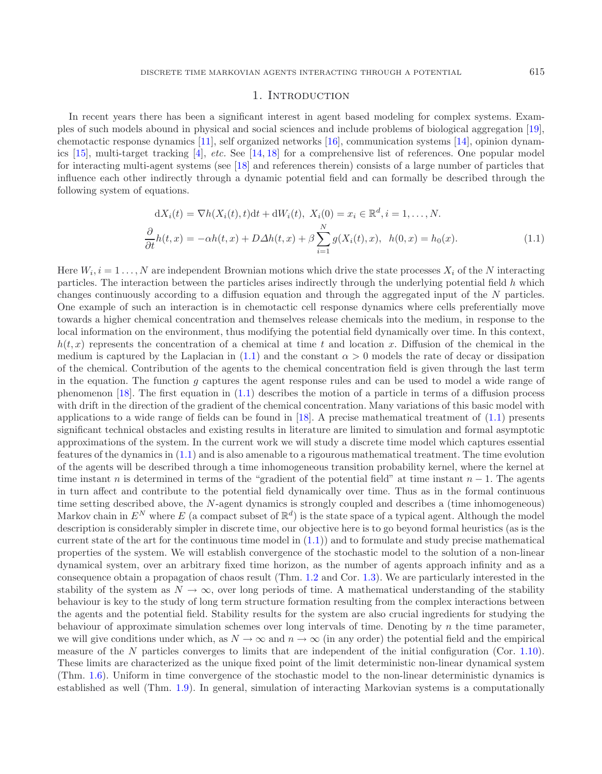### 1. INTRODUCTION

In recent years there has been a significant interest in agent based modeling for complex systems. Examples of such models abound in physical and social sciences and include problems of biological aggregation [\[19](#page-20-0)], chemotactic response dynamics [\[11\]](#page-20-1), self organized networks [\[16\]](#page-20-2), communication systems [\[14\]](#page-20-3), opinion dynamics [\[15\]](#page-20-4), multi-target tracking [\[4\]](#page-20-5), *etc.* See [\[14](#page-20-3), [18\]](#page-20-6) for a comprehensive list of references. One popular model for interacting multi-agent systems (see [\[18](#page-20-6)] and references therein) consists of a large number of particles that influence each other indirectly through a dynamic potential field and can formally be described through the following system of equations.

$$
dX_i(t) = \nabla h(X_i(t), t)dt + dW_i(t), \ X_i(0) = x_i \in \mathbb{R}^d, i = 1, ..., N.
$$
  
\n
$$
\frac{\partial}{\partial t}h(t, x) = -\alpha h(t, x) + D\Delta h(t, x) + \beta \sum_{i=1}^N g(X_i(t), x), \ h(0, x) = h_0(x).
$$
\n(1.1)

<span id="page-1-0"></span>Here  $W_i$ ,  $i = 1, \ldots, N$  are independent Brownian motions which drive the state processes  $X_i$  of the N interacting particles. The interaction between the particles arises indirectly through the underlying potential field h which changes continuously according to a diffusion equation and through the aggregated input of the N particles. One example of such an interaction is in chemotactic cell response dynamics where cells preferentially move towards a higher chemical concentration and themselves release chemicals into the medium, in response to the local information on the environment, thus modifying the potential field dynamically over time. In this context,  $h(t, x)$  represents the concentration of a chemical at time t and location x. Diffusion of the chemical in the medium is captured by the Laplacian in [\(1.1\)](#page-1-0) and the constant  $\alpha > 0$  models the rate of decay or dissipation of the chemical. Contribution of the agents to the chemical concentration field is given through the last term in the equation. The function  $q$  captures the agent response rules and can be used to model a wide range of phenomenon [\[18\]](#page-20-6). The first equation in [\(1.1\)](#page-1-0) describes the motion of a particle in terms of a diffusion process with drift in the direction of the gradient of the chemical concentration. Many variations of this basic model with applications to a wide range of fields can be found in [\[18](#page-20-6)]. A precise mathematical treatment of [\(1.1\)](#page-1-0) presents significant technical obstacles and existing results in literature are limited to simulation and formal asymptotic approximations of the system. In the current work we will study a discrete time model which captures essential features of the dynamics in [\(1.1\)](#page-1-0) and is also amenable to a rigourous mathematical treatment. The time evolution of the agents will be described through a time inhomogeneous transition probability kernel, where the kernel at time instant n is determined in terms of the "gradient of the potential field" at time instant  $n-1$ . The agents in turn affect and contribute to the potential field dynamically over time. Thus as in the formal continuous time setting described above, the N-agent dynamics is strongly coupled and describes a (time inhomogeneous) Markov chain in  $E^N$  where E (a compact subset of  $\mathbb{R}^d$ ) is the state space of a typical agent. Although the model description is considerably simpler in discrete time, our objective here is to go beyond formal heuristics (as is the current state of the art for the continuous time model in  $(1.1)$  and to formulate and study precise mathematical properties of the system. We will establish convergence of the stochastic model to the solution of a non-linear dynamical system, over an arbitrary fixed time horizon, as the number of agents approach infinity and as a consequence obtain a propagation of chaos result (Thm. [1.2](#page-4-0) and Cor. [1.3\)](#page-5-0). We are particularly interested in the stability of the system as  $N \to \infty$ , over long periods of time. A mathematical understanding of the stability behaviour is key to the study of long term structure formation resulting from the complex interactions between the agents and the potential field. Stability results for the system are also crucial ingredients for studying the behaviour of approximate simulation schemes over long intervals of time. Denoting by  $n$  the time parameter, we will give conditions under which, as  $N \to \infty$  and  $n \to \infty$  (in any order) the potential field and the empirical measure of the N particles converges to limits that are independent of the initial configuration (Cor. [1.10\)](#page-6-0). These limits are characterized as the unique fixed point of the limit deterministic non-linear dynamical system (Thm. [1.6\)](#page-5-1). Uniform in time convergence of the stochastic model to the non-linear deterministic dynamics is established as well (Thm. [1.9\)](#page-6-1). In general, simulation of interacting Markovian systems is a computationally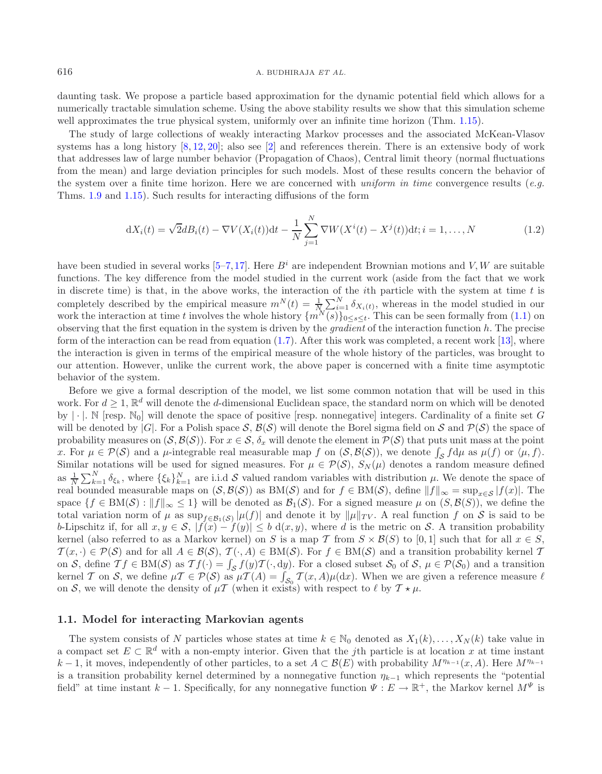#### 616 A. BUDHIRAJA *ET AL.*

daunting task. We propose a particle based approximation for the dynamic potential field which allows for a numerically tractable simulation scheme. Using the above stability results we show that this simulation scheme well approximates the true physical system, uniformly over an infinite time horizon (Thm. [1.15\)](#page-7-0).

The study of large collections of weakly interacting Markov processes and the associated McKean-Vlasov systems has a long history [\[8](#page-20-7), [12,](#page-20-8) [20](#page-20-9)]; also see [\[2](#page-20-10)] and references therein. There is an extensive body of work that addresses law of large number behavior (Propagation of Chaos), Central limit theory (normal fluctuations from the mean) and large deviation principles for such models. Most of these results concern the behavior of the system over a finite time horizon. Here we are concerned with *uniform in time* convergence results (*e.g.* Thms. [1.9](#page-6-1) and [1.15\)](#page-7-0). Such results for interacting diffusions of the form

$$
dX_i(t) = \sqrt{2}dB_i(t) - \nabla V(X_i(t))dt - \frac{1}{N} \sum_{j=1}^{N} \nabla W(X^i(t) - X^j(t))dt; i = 1,...,N
$$
\n(1.2)

have been studied in several works  $[5-7,17]$  $[5-7,17]$  $[5-7,17]$ . Here  $B^i$  are independent Brownian motions and V, W are suitable functions. The key difference from the model studied in the current work (aside from the fact that we work in discrete time) is that, in the above works, the interaction of the *i*th particle with the system at time  $t$  is completely described by the empirical measure  $m^N(t) = \frac{1}{N} \sum_{i=1}^N \delta_{X_i(t)}$ , whereas in the model studied in our work the interaction at time t involves the whole history  $\{m^N(s)\}_{0 \le s \le t}$ . This can be seen formally from [\(1.1\)](#page-1-0) on observing that the first equation in the system is driven by the *gradient* of the interaction function h. The precise form of the interaction can be read from equation  $(1.7)$ . After this work was completed, a recent work [\[13](#page-20-14)], where the interaction is given in terms of the empirical measure of the whole history of the particles, was brought to our attention. However, unlike the current work, the above paper is concerned with a finite time asymptotic behavior of the system.

Before we give a formal description of the model, we list some common notation that will be used in this work. For  $d \geq 1$ ,  $\mathbb{R}^d$  will denote the d-dimensional Euclidean space, the standard norm on which will be denoted by  $|\cdot|$ . N [resp. N<sub>0</sub>] will denote the space of positive [resp. nonnegative] integers. Cardinality of a finite set G will be denoted by |G|. For a Polish space  $S$ ,  $\mathcal{B}(S)$  will denote the Borel sigma field on S and  $\mathcal{P}(S)$  the space of probability measures on  $(S, \mathcal{B}(S))$ . For  $x \in S$ ,  $\delta_x$  will denote the element in  $\mathcal{P}(S)$  that puts unit mass at the point x. For  $\mu \in \mathcal{P}(\mathcal{S})$  and a  $\mu$ -integrable real measurable map f on  $(\mathcal{S}, \mathcal{B}(\mathcal{S}))$ , we denote  $\int_{\mathcal{S}} f d\mu$  as  $\mu(f)$  or  $\langle \mu, f \rangle$ . Similar notations will be used for signed measures. For  $\mu \in \mathcal{P}(\mathcal{S}), S_N(\mu)$  denotes a random measure defined as  $\frac{1}{N}\sum_{k=1}^{N}\delta_{\xi_k}$ , where  $\{\xi_k\}_{k=1}^{N}$  are i.i.d S valued random variables with distribution  $\mu$ . We denote the space of real bounded measurable maps on  $(S, \mathcal{B}(S))$  as  $BM(S)$  and for  $f \in BM(S)$ , define  $||f||_{\infty} = \sup_{x \in S} |f(x)|$ . The space  $\{f \in BM(\mathcal{S}) : ||f||_{\infty} \leq 1\}$  will be denoted as  $\mathcal{B}_1(\mathcal{S})$ . For a signed measure  $\mu$  on  $(S, \mathcal{B}(S))$ , we define the total variation norm of  $\mu$  as  $\sup_{f \in \mathcal{B}_1(\mathcal{S})} |\mu(f)|$  and denote it by  $\|\mu\|_{TV}$ . A real function f on S is said to be b-Lipschitz if, for all  $x, y \in S$ ,  $|f(x) - f(y)| \leq b \, d(x, y)$ , where d is the metric on S. A transition probability kernel (also referred to as a Markov kernel) on S is a map T from  $S \times \mathcal{B}(S)$  to [0,1] such that for all  $x \in S$ ,  $\mathcal{T}(x, \cdot) \in \mathcal{P}(\mathcal{S})$  and for all  $A \in \mathcal{B}(\mathcal{S}), \mathcal{T}(\cdot, A) \in BM(\mathcal{S})$ . For  $f \in BM(\mathcal{S})$  and a transition probability kernel T on S, define  $Tf \in BM(S)$  as  $Tf(\cdot) = \int_S f(y)T(\cdot, dy)$ . For a closed subset  $S_0$  of S,  $\mu \in P(S_0)$  and a transition kernel T on S, we define  $\mu T \in P(S)$  as  $\mu T(A) = \int_{S_0} T(x, A)\mu(dx)$ . When we are given a reference measure  $\ell$ on S, we will denote the density of  $\mu$ T (when it exists) with respect to  $\ell$  by  $\mathcal{T} \star \mu$ .

### **1.1. Model for interacting Markovian agents**

The system consists of N particles whose states at time  $k \in \mathbb{N}_0$  denoted as  $X_1(k), \ldots, X_N(k)$  take value in a compact set  $E \subset \mathbb{R}^d$  with a non-empty interior. Given that the *j*th particle is at location x at time instant  $k-1$ , it moves, independently of other particles, to a set  $A \subset \mathcal{B}(E)$  with probability  $M^{\eta_{k-1}}(x, A)$ . Here  $M^{\eta_{k-1}}$ is a transition probability kernel determined by a nonnegative function  $\eta_{k-1}$  which represents the "potential field" at time instant  $k-1$ . Specifically, for any nonnegative function  $\Psi : E \to \mathbb{R}^+$ , the Markov kernel  $M^{\Psi}$  is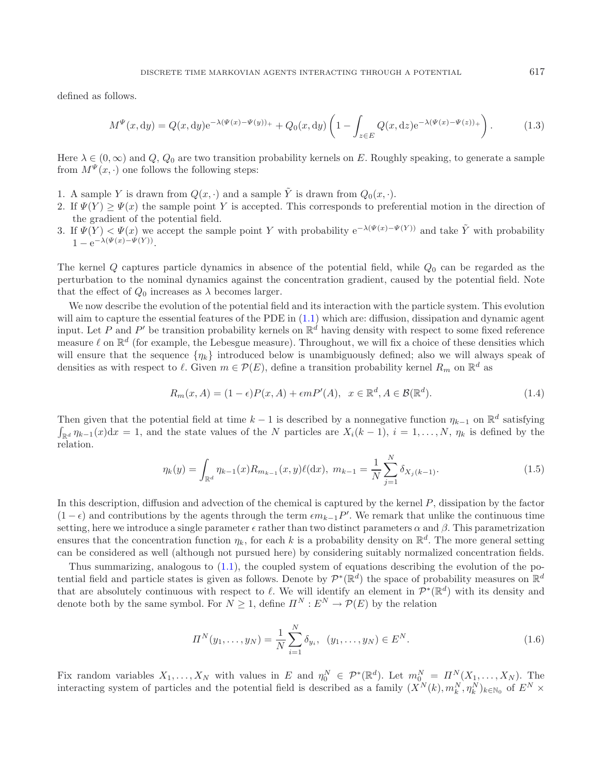defined as follows.

$$
M^{\Psi}(x,dy) = Q(x,dy)e^{-\lambda(\Psi(x) - \Psi(y))_{+}} + Q_{0}(x,dy)\left(1 - \int_{z \in E} Q(x,dz)e^{-\lambda(\Psi(x) - \Psi(z))_{+}}\right). \tag{1.3}
$$

Here  $\lambda \in (0,\infty)$  and  $Q, Q_0$  are two transition probability kernels on E. Roughly speaking, to generate a sample from  $M^{\Psi}(x, \cdot)$  one follows the following steps:

- 1. A sample Y is drawn from  $Q(x, \cdot)$  and a sample  $\tilde{Y}$  is drawn from  $Q_0(x, \cdot)$ .
- 2. If  $\Psi(Y) \geq \Psi(x)$  the sample point Y is accepted. This corresponds to preferential motion in the direction of the gradient of the potential field.
- 3. If  $\Psi(Y) < \Psi(x)$  we accept the sample point Y with probability  $e^{-\lambda(\Psi(x)-\Psi(Y))}$  and take Y with probability  $1 - e^{-\lambda(\Psi(x) - \Psi(Y))}$ .

The kernel  $Q$  captures particle dynamics in absence of the potential field, while  $Q_0$  can be regarded as the perturbation to the nominal dynamics against the concentration gradient, caused by the potential field. Note that the effect of  $Q_0$  increases as  $\lambda$  becomes larger.

<span id="page-3-0"></span>We now describe the evolution of the potential field and its interaction with the particle system. This evolution will aim to capture the essential features of the PDE in  $(1.1)$  which are: diffusion, dissipation and dynamic agent input. Let P and P' be transition probability kernels on  $\mathbb{R}^d$  having density with respect to some fixed reference measure  $\ell$  on  $\mathbb{R}^d$  (for example, the Lebesgue measure). Throughout, we will fix a choice of these densities which will ensure that the sequence  $\{\eta_k\}$  introduced below is unambiguously defined; also we will always speak of densities as with respect to  $\ell$ . Given  $m \in \mathcal{P}(E)$ , define a transition probability kernel  $R_m$  on  $\mathbb{R}^d$  as

$$
R_m(x, A) = (1 - \epsilon)P(x, A) + \epsilon m P'(A), \quad x \in \mathbb{R}^d, A \in \mathcal{B}(\mathbb{R}^d).
$$
\n(1.4)

Then given that the potential field at time k – 1 is described by a nonnegative function  $\eta_{k-1}$  on  $\mathbb{R}^d$  satisfying  $\int_{\mathbb{R}^d} \eta_{k-1}(x) dx = 1$ , and the state values of the N particles are  $X_i(k-1)$ ,  $i = 1,\ldots,N$ ,  $\eta_k$  is defined by the relation.

$$
\eta_k(y) = \int_{\mathbb{R}^d} \eta_{k-1}(x) R_{m_{k-1}}(x, y) \ell(\mathrm{d}x), \ m_{k-1} = \frac{1}{N} \sum_{j=1}^N \delta_{X_j(k-1)}.
$$
\n(1.5)

In this description, diffusion and advection of the chemical is captured by the kernel P, dissipation by the factor  $(1 - \epsilon)$  and contributions by the agents through the term  $\epsilon m_{k-1}P'$ . We remark that unlike the continuous time setting, here we introduce a single parameter  $\epsilon$  rather than two distinct parameters  $\alpha$  and  $\beta$ . This parametrization ensures that the concentration function  $\eta_k$ , for each k is a probability density on  $\mathbb{R}^d$ . The more general setting can be considered as well (although not pursued here) by considering suitably normalized concentration fields.

Thus summarizing, analogous to [\(1.1\)](#page-1-0), the coupled system of equations describing the evolution of the potential field and particle states is given as follows. Denote by  $\mathcal{P}^*(\mathbb{R}^d)$  the space of probability measures on  $\mathbb{R}^d$ that are absolutely continuous with respect to  $\ell$ . We will identify an element in  $\mathcal{P}^*(\mathbb{R}^d)$  with its density and denote both by the same symbol. For  $N \geq 1$ , define  $\Pi^N : E^N \to \mathcal{P}(E)$  by the relation

$$
\Pi^{N}(y_{1},\ldots,y_{N}) = \frac{1}{N} \sum_{i=1}^{N} \delta_{y_{i}}, \ \ (y_{1},\ldots,y_{N}) \in E^{N}.
$$
\n(1.6)

Fix random variables  $X_1, \ldots, X_N$  with values in E and  $\eta_0^N \in \mathcal{P}^*(\mathbb{R}^d)$ . Let  $m_{0}^N = \Pi^N(X_1, \ldots, X_N)$ . The interacting system of particles and the potential field is described as a family  $(X^N(k), m_k^N, \eta_k^N)_{k \in \mathbb{N}_0}$  of  $E^N \times$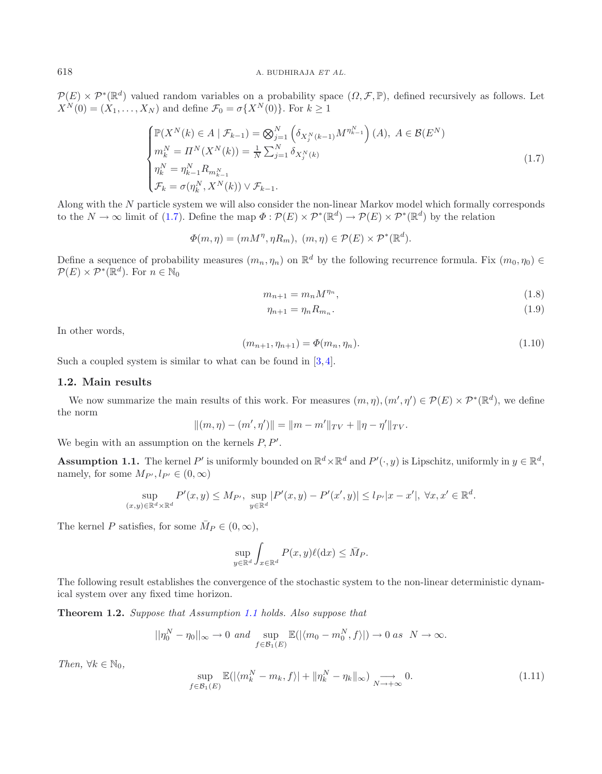<span id="page-4-1"></span> $\mathcal{P}(E) \times \mathcal{P}^*(\mathbb{R}^d)$  valued random variables on a probability space  $(\Omega, \mathcal{F}, \mathbb{P})$ , defined recursively as follows. Let  $X^N(0) = (X_1,\ldots,X_N)$  and define  $\mathcal{F}_0 = \sigma\{X^N(0)\}\$ . For  $k \geq 1$ 

$$
\begin{cases}\n\mathbb{P}(X^{N}(k) \in A \mid \mathcal{F}_{k-1}) = \bigotimes_{j=1}^{N} \left( \delta_{X_{j}^{N}(k-1)} M^{\eta_{k-1}^{N}} \right)(A), \ A \in \mathcal{B}(E^{N}) \\
m_{k}^{N} = \Pi^{N}(X^{N}(k)) = \frac{1}{N} \sum_{j=1}^{N} \delta_{X_{j}^{N}(k)} \\
\eta_{k}^{N} = \eta_{k-1}^{N} R_{m_{k-1}^{N}} \\
\mathcal{F}_{k} = \sigma(\eta_{k}^{N}, X^{N}(k)) \vee \mathcal{F}_{k-1}.\n\end{cases} \tag{1.7}
$$

<span id="page-4-3"></span>Along with the N particle system we will also consider the non-linear Markov model which formally corresponds to the  $N \to \infty$  limit of [\(1.7\)](#page-4-1). Define the map  $\Phi : \mathcal{P}(E) \times \mathcal{P}^*(\mathbb{R}^d) \to \mathcal{P}(E) \times \mathcal{P}^*(\mathbb{R}^d)$  by the relation

 $\Phi(m, \eta)=(mM^{\eta}, \eta R_m), (m, \eta) \in \mathcal{P}(E) \times \mathcal{P}^*(\mathbb{R}^d).$ 

Define a sequence of probability measures  $(m_n, \eta_n)$  on  $\mathbb{R}^d$  by the following recurrence formula. Fix  $(m_0, \eta_0) \in$  $\mathcal{P}(E) \times \mathcal{P}^*(\mathbb{R}^d)$ . For  $n \in \mathbb{N}_0$ 

<span id="page-4-5"></span><span id="page-4-2"></span>
$$
m_{n+1} = m_n M^{\eta_n},\tag{1.8}
$$

$$
\eta_{n+1} = \eta_n R_{m_n}.\tag{1.9}
$$

In other words,

$$
(m_{n+1}, \eta_{n+1}) = \Phi(m_n, \eta_n). \tag{1.10}
$$

Such a coupled system is similar to what can be found in  $[3, 4]$  $[3, 4]$  $[3, 4]$ .

### **1.2. Main results**

We now summarize the main results of this work. For measures  $(m, \eta), (m', \eta') \in \mathcal{P}(E) \times \mathcal{P}^*(\mathbb{R}^d)$ , we define the norm

<span id="page-4-0"></span>
$$
||(m, \eta) - (m', \eta')|| = ||m - m'||_{TV} + ||\eta - \eta'||_{TV}.
$$

We begin with an assumption on the kernels  $P, P'$ .

**Assumption 1.1.** The kernel P' is uniformly bounded on  $\mathbb{R}^d \times \mathbb{R}^d$  and  $P'(\cdot, y)$  is Lipschitz, uniformly in  $y \in \mathbb{R}^d$ , namely, for some  $M_{P'}, l_{P'} \in (0, \infty)$ 

$$
\sup_{(x,y)\in\mathbb{R}^d\times\mathbb{R}^d} P'(x,y) \le M_{P'}, \sup_{y\in\mathbb{R}^d} |P'(x,y) - P'(x',y)| \le l_{P'}|x - x'|, \ \forall x, x' \in \mathbb{R}^d.
$$

<span id="page-4-4"></span>The kernel P satisfies, for some  $\overline{M}_P \in (0, \infty)$ ,

$$
\sup_{y \in \mathbb{R}^d} \int_{x \in \mathbb{R}^d} P(x, y) \ell(\mathrm{d}x) \le \bar{M}_P.
$$

The following result establishes the convergence of the stochastic system to the non-linear deterministic dynamical system over any fixed time horizon.

**Theorem 1.2.** *Suppose that Assumption [1.1](#page-4-2) holds. Also suppose that*

$$
||\eta_0^N - \eta_0||_{\infty} \to 0 \text{ and } \sup_{f \in \mathcal{B}_1(E)} \mathbb{E}(|\langle m_0 - m_0^N, f \rangle|) \to 0 \text{ as } N \to \infty.
$$

*Then,*  $\forall k \in \mathbb{N}_0$ *,* 

$$
\sup_{f \in \mathcal{B}_1(E)} \mathbb{E}(|\langle m_k^N - m_k, f \rangle| + \|\eta_k^N - \eta_k\|_{\infty}) \underset{N \to +\infty}{\longrightarrow} 0. \tag{1.11}
$$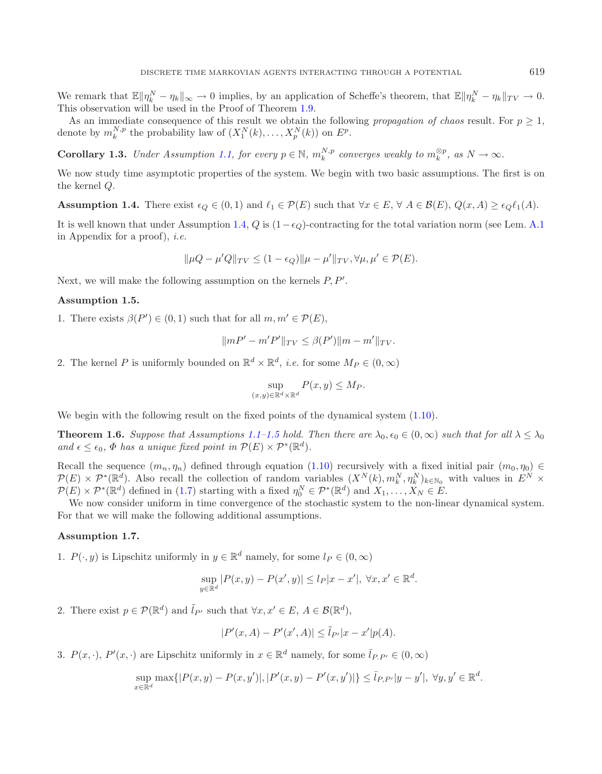<span id="page-5-2"></span><span id="page-5-0"></span>We remark that  $\mathbb{E} \|\eta_k^N - \eta_k\|_{\infty} \to 0$  implies, by an application of Scheffe's theorem, that  $\mathbb{E} \|\eta_k^N - \eta_k\|_{TV} \to 0$ . This observation will be used in the Proof of Theorem [1.9.](#page-6-1)

As an immediate consequence of this result we obtain the following *propagation of chaos* result. For  $p \geq 1$ , denote by  $m_k^{N,p}$  the probability law of  $(X_1^N(k),...,X_p^N(k))$  on  $E^p$ .

**Corollary 1.3.** *Under Assumption [1.1,](#page-4-2) for every*  $p \in \mathbb{N}$ *,*  $m_k^{N,p}$  *converges weakly to*  $m_k^{\otimes p}$ *, as*  $N \to \infty$ *.* 

We now study time asymptotic properties of the system. We begin with two basic assumptions. The first is on the kernel Q.

**Assumption 1.4.** There exist  $\epsilon_Q \in (0,1)$  and  $\ell_1 \in \mathcal{P}(E)$  such that  $\forall x \in E$ ,  $\forall A \in \mathcal{B}(E)$ ,  $Q(x,A) \geq \epsilon_Q \ell_1(A)$ .

It is well known that under Assumption [1.4,](#page-5-2) Q is  $(1 - \epsilon_Q)$ -contracting for the total variation norm (see Lem. [A.1](#page-4-2) in Appendix for a proof), *i.e.*

<span id="page-5-3"></span>
$$
\|\mu Q - \mu' Q\|_{TV} \le (1 - \epsilon_Q) \|\mu - \mu'\|_{TV}, \forall \mu, \mu' \in \mathcal{P}(E).
$$

Next, we will make the following assumption on the kernels  $P, P'$ .

### **Assumption 1.5.**

1. There exists  $\beta(P') \in (0,1)$  such that for all  $m, m' \in \mathcal{P}(E)$ ,

<span id="page-5-1"></span>
$$
||mP' - m'P'||_{TV} \le \beta(P')||m - m'||_{TV}.
$$

2. The kernel P is uniformly bounded on  $\mathbb{R}^d \times \mathbb{R}^d$ , *i.e.* for some  $M_P \in (0, \infty)$ 

$$
\sup_{(x,y)\in\mathbb{R}^d\times\mathbb{R}^d} P(x,y) \le M_P.
$$

We begin with the following result on the fixed points of the dynamical system  $(1.10)$ .

**Theorem 1.6.** *Suppose that Assumptions* [1.1–](#page-4-2)[1.5](#page-5-3) *hold. Then there are*  $\lambda_0, \epsilon_0 \in (0, \infty)$  *such that for all*  $\lambda \leq \lambda_0$ and  $\epsilon \leq \epsilon_0$ ,  $\Phi$  *has a unique fixed point in*  $\mathcal{P}(E) \times \mathcal{P}^*(\mathbb{R}^d)$ *.* 

Recall the sequence  $(m_n, \eta_n)$  defined through equation [\(1.10\)](#page-4-3) recursively with a fixed initial pair  $(m_0, \eta_0) \in$  $\mathcal{P}(E) \times \mathcal{P}^*(\mathbb{R}^d)$ . Also recall the collection of random variables  $(X^N(k), m_k^N, \eta_k^N)_{k \in \mathbb{N}_0}$  with values in  $E^N \times$  $\mathcal{P}(E) \times \mathcal{P}^*(\mathbb{R}^d)$  defined in [\(1.7\)](#page-4-1) starting with a fixed  $\eta_0^N \in \mathcal{P}^*(\mathbb{R}^d)$  and  $X_1, \ldots, X_N \in E$ .

<span id="page-5-4"></span>We now consider uniform in time convergence of the stochastic system to the non-linear dynamical system. For that we will make the following additional assumptions.

### **Assumption 1.7.**

1.  $P(\cdot, y)$  is Lipschitz uniformly in  $y \in \mathbb{R}^d$  namely, for some  $l_P \in (0, \infty)$ 

$$
\sup_{y \in \mathbb{R}^d} |P(x, y) - P(x', y)| \le l_P |x - x'|, \ \forall x, x' \in \mathbb{R}^d.
$$

2. There exist  $p \in \mathcal{P}(\mathbb{R}^d)$  and  $\tilde{l}_{P'}$  such that  $\forall x, x' \in E, A \in \mathcal{B}(\mathbb{R}^d)$ ,

$$
|P'(x,A) - P'(x',A)| \leq \tilde{l}_{P'}|x - x'|p(A).
$$

3.  $P(x, \cdot), P'(x, \cdot)$  are Lipschitz uniformly in  $x \in \mathbb{R}^d$  namely, for some  $\overline{l}_{P,P'} \in (0, \infty)$ 

$$
\sup_{x \in \mathbb{R}^d} \max\{|P(x,y) - P(x,y')|, |P'(x,y) - P'(x,y')|\} \le \overline{l}_{P,P'}|y - y'|, \ \forall y, y' \in \mathbb{R}^d.
$$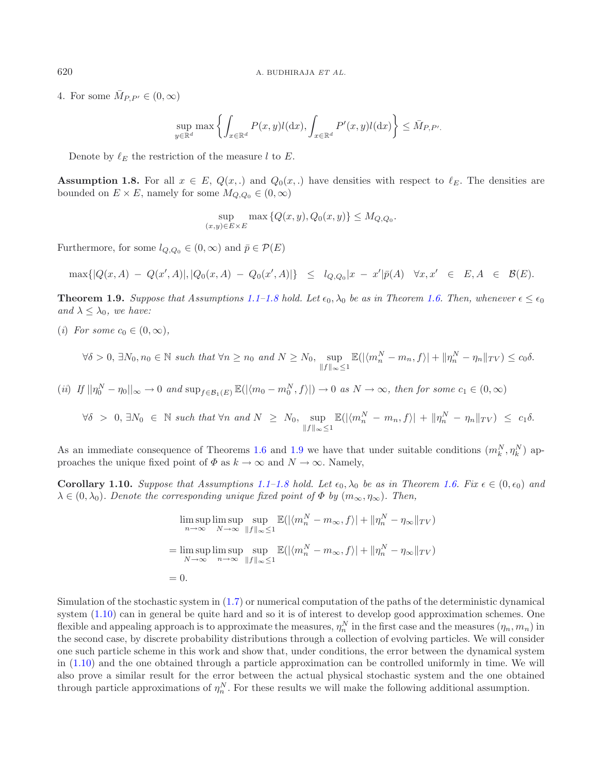4. For some  $\bar{M}_{P,P'} \in (0,\infty)$ 

$$
\sup_{y \in \mathbb{R}^d} \max \left\{ \int_{x \in \mathbb{R}^d} P(x, y) l(dx), \int_{x \in \mathbb{R}^d} P'(x, y) l(dx) \right\} \leq \bar{M}_{P, P'}.
$$

Denote by  $\ell_E$  the restriction of the measure l to E.

<span id="page-6-2"></span>**Assumption 1.8.** For all  $x \in E$ ,  $Q(x,.)$  and  $Q_0(x,.)$  have densities with respect to  $\ell_E$ . The densities are bounded on  $E \times E$ , namely for some  $M_{Q,Q_0} \in (0,\infty)$ 

<span id="page-6-0"></span>
$$
\sup_{(x,y)\in E\times E} \max\left\{Q(x,y), Q_0(x,y)\right\} \le M_{Q,Q_0}.
$$

Furthermore, for some  $l_{Q,Q_0} \in (0,\infty)$  and  $\bar{p} \in \mathcal{P}(E)$ 

$$
\max\{|Q(x,A) - Q(x',A)|, |Q_0(x,A) - Q_0(x',A)|\} \le l_{Q,Q_0}|x - x'| \bar{p}(A) \quad \forall x, x' \in E, A \in \mathcal{B}(E).
$$

<span id="page-6-1"></span>**Theorem 1.9.** *Suppose that Assumptions* [1.1](#page-4-2)[–1.8](#page-6-2) *hold.* Let  $\epsilon_0$ ,  $\lambda_0$  *be as in Theorem [1.6.](#page-5-1) Then, whenever*  $\epsilon \leq \epsilon_0$ *and*  $\lambda \leq \lambda_0$ *, we have:* 

(*i*) For some  $c_0 \in (0, \infty)$ ,

$$
\forall \delta > 0, \exists N_0, n_0 \in \mathbb{N} \text{ such that } \forall n \ge n_0 \text{ and } N \ge N_0, \sup_{\|f\|_{\infty} \le 1} \mathbb{E}(|\langle m_n^N - m_n, f \rangle| + \|\eta_n^N - \eta_n\|_{TV}) \le c_0 \delta.
$$

 $(iii)$  *If*  $||\eta_0^N - \eta_0||_{\infty} \to 0$  *and*  $\sup_{f \in \mathcal{B}_1(E)} \mathbb{E}(|\langle m_0 - m_0^N, f \rangle|) \to 0$  *as*  $N \to \infty$ *, then for some*  $c_1 \in (0, \infty)$ 

 $\forall \delta > 0, \exists N_0 \in \mathbb{N} \text{ such that } \forall n \text{ and } N \geq N_0, \text{ sup}$  $||f||_{\infty} \leq 1$  $\mathbb{E}(|\langle m_n^N - m_n, f \rangle| + ||\eta_n^N - \eta_n||_{TV}) \leq c_1 \delta.$ 

As an immediate consequence of Theorems [1.6](#page-5-1) and [1.9](#page-6-1) we have that under suitable conditions  $(m_k^N, \eta_k^N)$  approaches the unique fixed point of  $\Phi$  as  $k \to \infty$  and  $N \to \infty$ . Namely,

**Corollary [1.1](#page-4-2)0.** Suppose that Assumptions 1.1[–1.8](#page-6-2) hold. Let  $\epsilon_0$ ,  $\lambda_0$  be as in Theorem [1.6.](#page-5-1) Fix  $\epsilon \in (0, \epsilon_0)$  and  $\lambda \in (0, \lambda_0)$ *. Denote the corresponding unique fixed point of*  $\Phi$  *by*  $(m_\infty, \eta_\infty)$ *. Then,* 

$$
\limsup_{n \to \infty} \limsup_{N \to \infty} \sup_{\|f\|_{\infty} \le 1} \mathbb{E}(|\langle m_n^N - m_{\infty}, f \rangle| + \| \eta_n^N - \eta_{\infty} \|_{TV})
$$
  
= 
$$
\limsup_{N \to \infty} \limsup_{n \to \infty} \sup_{\|f\|_{\infty} \le 1} \mathbb{E}(|\langle m_n^N - m_{\infty}, f \rangle| + \| \eta_n^N - \eta_{\infty} \|_{TV})
$$
  
= 0.

Simulation of the stochastic system in [\(1.7\)](#page-4-1) or numerical computation of the paths of the deterministic dynamical system [\(1.10\)](#page-4-3) can in general be quite hard and so it is of interest to develop good approximation schemes. One flexible and appealing approach is to approximate the measures,  $\eta_n^N$  in the first case and the measures  $(\eta_n, m_n)$  in the second case, by discrete probability distributions through a collection of evolving particles. We will consider one such particle scheme in this work and show that, under conditions, the error between the dynamical system in [\(1.10\)](#page-4-3) and the one obtained through a particle approximation can be controlled uniformly in time. We will also prove a similar result for the error between the actual physical stochastic system and the one obtained through particle approximations of  $\eta_n^N$ . For these results we will make the following additional assumption.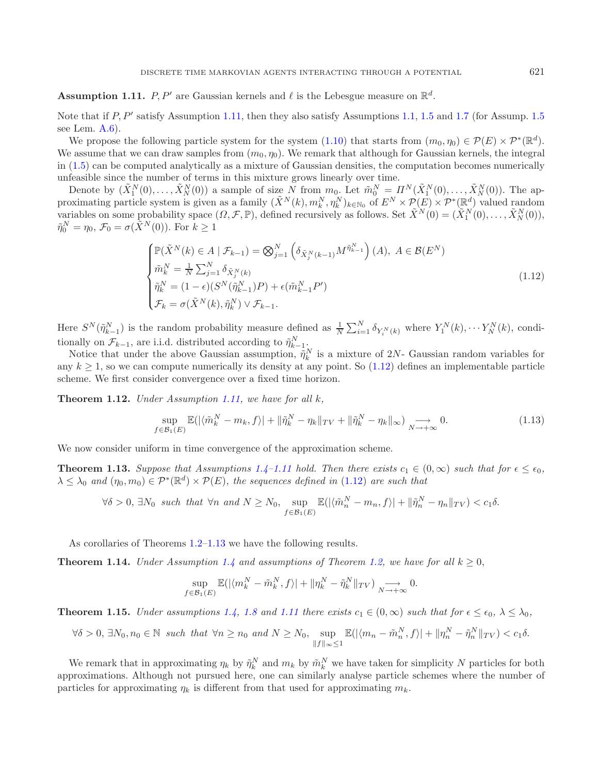<span id="page-7-2"></span><span id="page-7-1"></span>**Assumption 1.11.** P, P' are Gaussian kernels and  $\ell$  is the Lebesgue measure on  $\mathbb{R}^d$ .

Note that if P, P' satisfy Assumption [1.11,](#page-7-1) then they also satisfy Assumptions [1.1,](#page-4-2) [1.5](#page-5-3) and [1.7](#page-5-4) (for Assump. 1.5 see Lem. [A.6\)](#page-5-1).

We propose the following particle system for the system [\(1.10\)](#page-4-3) that starts from  $(m_0, \eta_0) \in \mathcal{P}(E) \times \mathcal{P}^*(\mathbb{R}^d)$ . We assume that we can draw samples from  $(m_0, \eta_0)$ . We remark that although for Gaussian kernels, the integral in [\(1.5\)](#page-3-0) can be computed analytically as a mixture of Gaussian densities, the computation becomes numerically unfeasible since the number of terms in this mixture grows linearly over time.

Denote by  $(\tilde{X}_1^N(0),\ldots,\tilde{X}_N^N(0))$  a sample of size N from  $m_0$ . Let  $\tilde{m}_0^N = \Pi^N(\tilde{X}_1^N(0),\ldots,\tilde{X}_N^N(0))$ . The approximating particle system is given as a family  $(\tilde{X}^N(k), m_k^N, \eta_k^N)_{k \in \mathbb{N}_0}$  of  $E^N \times \mathcal{P}(E) \times \mathcal{P}^*(\mathbb{R}^d)$  valued random variables on some probability space  $(\Omega, \mathcal{F}, \mathbb{P})$ , defined recursively as follows. Set  $\tilde{X}^{N}(0) = (\tilde{X}_{1}^{N}(0), \ldots, \tilde{X}_{N}^{N}(0)),$  $\tilde{\eta}_0^N = \eta_0, \mathcal{F}_0 = \sigma(\tilde{X}^N(0)).$  For  $k \ge 1$ 

<span id="page-7-5"></span>
$$
\begin{cases}\n\mathbb{P}(\tilde{X}^{N}(k) \in A \mid \mathcal{F}_{k-1}) = \bigotimes_{j=1}^{N} \left( \delta_{\tilde{X}_{j}^{N}(k-1)} M^{\tilde{\eta}_{k-1}^{N}} \right)(A), \ A \in \mathcal{B}(E^{N}) \\
\tilde{m}_{k}^{N} = \frac{1}{N} \sum_{j=1}^{N} \delta_{\tilde{X}_{j}^{N}(k)} \\
\tilde{\eta}_{k}^{N} = (1 - \epsilon)(S^{N}(\tilde{\eta}_{k-1}^{N})P) + \epsilon(\tilde{m}_{k-1}^{N} P') \\
\mathcal{F}_{k} = \sigma(\tilde{X}^{N}(k), \tilde{\eta}_{k}^{N}) \vee \mathcal{F}_{k-1}.\n\end{cases}
$$
\n(1.12)

Here  $S^{N}(\tilde{\eta}_{k-1}^{N})$  is the random probability measure defined as  $\frac{1}{N}\sum_{i=1}^{N}\delta_{Y_{i}^{N}(k)}$  where  $Y_{1}^{N}(k),\cdots Y_{N}^{N}(k)$ , conditionally on  $\mathcal{F}_{k-1}$ , are i.i.d. distributed according to  $\tilde{\eta}_{k-1}^N$ 

Notice that under the above Gaussian assumption,  $\tilde{\eta}_k^N$  is a mixture of 2N- Gaussian random variables for any  $k \geq 1$ , so we can compute numerically its density at any point. So  $(1.12)$  defines an implementable particle scheme. We first consider convergence over a fixed time horizon.

<span id="page-7-4"></span>**Theorem 1.12.** *Under Assumption [1.11,](#page-7-1) we have for all* k*,*

$$
\sup_{f \in \mathcal{B}_1(E)} \mathbb{E}(|\langle \tilde{m}_k^N - m_k, f \rangle| + \| \tilde{\eta}_k^N - \eta_k \|_{TV} + \| \tilde{\eta}_k^N - \eta_k \|_{\infty}) \underset{N \to +\infty}{\longrightarrow} 0. \tag{1.13}
$$

<span id="page-7-3"></span>We now consider uniform in time convergence of the approximation scheme.

**Theorem 1.13.** Suppose that Assumptions [1.4–](#page-5-2)[1.11](#page-7-1) hold. Then there exists  $c_1 \in (0, \infty)$  such that for  $\epsilon \leq \epsilon_0$ ,  $\lambda \leq \lambda_0$  *and*  $(\eta_0, m_0) \in \mathcal{P}^*(\mathbb{R}^d) \times \mathcal{P}(E)$ , the sequences defined in [\(1.12\)](#page-7-2) are such that

$$
\forall \delta > 0, \exists N_0 \text{ such that } \forall n \text{ and } N \ge N_0, \sup_{f \in \mathcal{B}_1(E)} \mathbb{E}(|\langle \tilde{m}_n^N - m_n, f \rangle| + ||\tilde{\eta}_n^N - \eta_n||_{TV}) < c_1 \delta.
$$

As corollaries of Theorems [1.2](#page-4-0)[–1.13](#page-7-3) we have the following results.

**Theorem 1.14.** *Under Assumption* [1.4](#page-5-2) *and assumptions of Theorem [1.2,](#page-4-0) we have for all*  $k \geq 0$ ,

$$
\sup_{f\in\mathcal{B}_1(E)} \mathbb{E}(|\langle m_k^N - \tilde{m}_k^N, f \rangle| + \|\eta_k^N - \tilde{\eta}_k^N\|_{TV}) \underset{N \to +\infty}{\longrightarrow} 0.
$$

<span id="page-7-0"></span>**Theorem 1.15.** *Under assumptions* [1.4,](#page-5-2) [1.8](#page-6-2) and [1.11](#page-7-1) *there exists*  $c_1 \in (0, \infty)$  *such that for*  $\epsilon \leq \epsilon_0$ ,  $\lambda \leq \lambda_0$ ,

$$
\forall \delta > 0, \exists N_0, n_0 \in \mathbb{N} \text{ such that } \forall n \ge n_0 \text{ and } N \ge N_0, \sup_{\|f\|_{\infty} \le 1} \mathbb{E}(|\langle m_n - \tilde{m}_n^N, f \rangle| + \|\eta_n^N - \tilde{\eta}_n^N\|_{TV}) < c_1 \delta.
$$

We remark that in approximating  $\eta_k$  by  $\tilde{\eta}_k^N$  and  $m_k$  by  $\tilde{m}_k^N$  we have taken for simplicity N particles for both approximations. Although not pursued here, one can similarly analyse particle schemes where the number of particles for approximating  $\eta_k$  is different from that used for approximating  $m_k$ .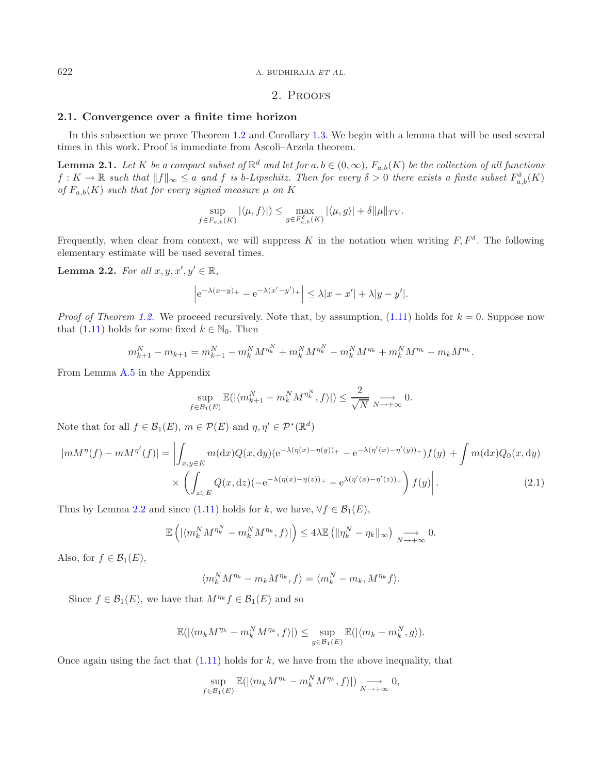622 A. BUDHIRAJA *ET AL.*

### <span id="page-8-1"></span><span id="page-8-0"></span>2. Proofs

### **2.1. Convergence over a finite time horizon**

In this subsection we prove Theorem [1.2](#page-4-0) and Corollary [1.3.](#page-5-0) We begin with a lemma that will be used several times in this work. Proof is immediate from Ascoli–Arzela theorem.

**Lemma 2.1.** *Let* K *be a compact subset of*  $\mathbb{R}^d$  *and let* for  $a, b \in (0, \infty)$ *,*  $F_{a,b}(K)$  *be the collection of all functions*  $f: K \to \mathbb{R}$  such that  $||f||_{\infty} \leq a$  and f is b-Lipschitz. Then for every  $\delta > 0$  there exists a finite subset  $F_{a,b}^{\delta}(K)$ *of*  $F_{a,b}(K)$  *such that for every signed measure*  $\mu$  *on* K

$$
\sup_{f\in F_{a,b}(K)} |\langle \mu, f \rangle| \le \max_{g\in F_{a,b}^{\delta}(K)} |\langle \mu, g \rangle| + \delta \|\mu\|_{TV}.
$$

Frequently, when clear from context, we will suppress K in the notation when writing  $F, F^{\delta}$ . The following elementary estimate will be used several times.

**Lemma 2.2.** *For all*  $x, y, x', y' \in \mathbb{R}$ *,* 

<span id="page-8-2"></span>
$$
\left| e^{-\lambda(x-y)_+} - e^{-\lambda(x'-y')_+} \right| \le \lambda |x-x'| + \lambda |y-y'|.
$$

*Proof of Theorem [1.2.](#page-4-0)* We proceed recursively. Note that, by assumption,  $(1.11)$  holds for  $k = 0$ . Suppose now that [\(1.11\)](#page-4-4) holds for some fixed  $k \in \mathbb{N}_0$ . Then

$$
m_{k+1}^N - m_{k+1} = m_{k+1}^N - m_k^N M^{\eta_k^N} + m_k^N M^{\eta_k^N} - m_k^N M^{\eta_k} + m_k^N M^{\eta_k} - m_k M^{\eta_k}.
$$

From Lemma [A.5](#page-5-3) in the Appendix

$$
\sup_{f \in \mathcal{B}_1(E)} \mathbb{E}(|\langle m_{k+1}^N - m_k^N M^{\eta_k^N}, f \rangle|) \le \frac{2}{\sqrt{N}} \underset{N \to +\infty}{\longrightarrow} 0.
$$

Note that for all  $f \in \mathcal{B}_1(E)$ ,  $m \in \mathcal{P}(E)$  and  $\eta, \eta' \in \mathcal{P}^*(\mathbb{R}^d)$ 

$$
|mM^{\eta}(f) - mM^{\eta'}(f)| = \left| \int_{x,y \in E} m(\mathrm{d}x) Q(x,\mathrm{d}y) (e^{-\lambda(\eta(x) - \eta(y))_{+}} - e^{-\lambda(\eta'(x) - \eta'(y))_{+}}) f(y) + \int m(\mathrm{d}x) Q_{0}(x,\mathrm{d}y) \right|
$$
  
 
$$
\times \left( \int_{z \in E} Q(x,\mathrm{d}z) (-e^{-\lambda(\eta(x) - \eta(z))_{+}} + e^{\lambda(\eta'(x) - \eta'(z))_{+}}) f(y) \right).
$$
 (2.1)

Thus by Lemma [2.2](#page-8-0) and since [\(1.11\)](#page-4-4) holds for k, we have,  $\forall f \in \mathcal{B}_1(E)$ ,

$$
\mathbb{E}\left(\left|\langle m_k^N M^{\eta_k^N} - m_k^N M^{\eta_k}, f\rangle\right|\right) \leq 4\lambda \mathbb{E}\left(\|\eta_k^N - \eta_k\|_{\infty}\right) \underset{N \to +\infty}{\longrightarrow} 0.
$$

Also, for  $f \in \mathcal{B}_1(E)$ ,

$$
\langle m_k^N M^{\eta_k} - m_k M^{\eta_k}, f \rangle = \langle m_k^N - m_k, M^{\eta_k} f \rangle.
$$

Since  $f \in \mathcal{B}_1(E)$ , we have that  $M^{\eta_k} f \in \mathcal{B}_1(E)$  and so

$$
\mathbb{E}(|\langle m_k M^{\eta_k} - m_k^N M^{\eta_k}, f \rangle|) \leq \sup_{g \in \mathcal{B}_1(E)} \mathbb{E}(|\langle m_k - m_k^N, g \rangle).
$$

Once again using the fact that  $(1.11)$  holds for k, we have from the above inequality, that

$$
\sup_{f\in\mathcal{B}_1(E)} \mathbb{E}(|\langle m_k M^{\eta_k} - m_k^N M^{\eta_k}, f \rangle|) \underset{N \to +\infty}{\longrightarrow} 0,
$$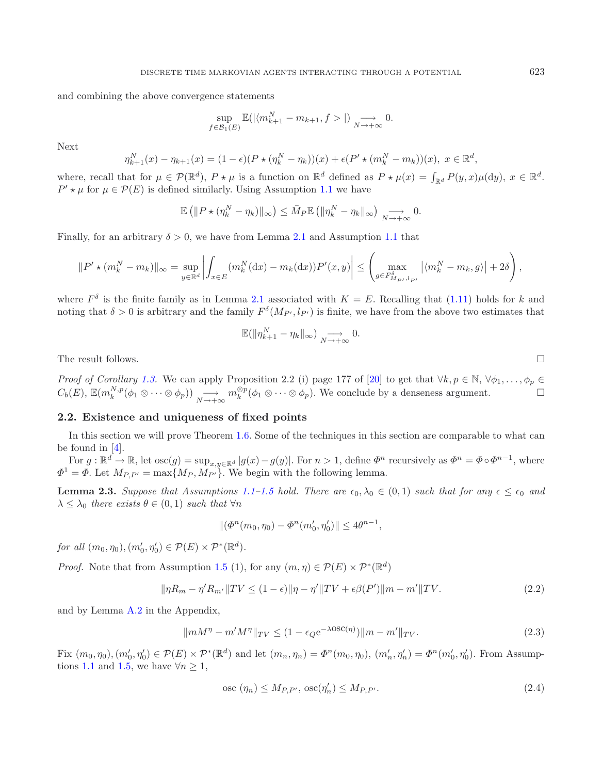and combining the above convergence statements

$$
\sup_{f \in \mathcal{B}_1(E)} \mathbb{E}(|\langle m_{k+1}^N - m_{k+1}, f \rangle|) \underset{N \to +\infty}{\longrightarrow} 0.
$$

Next

$$
\eta_{k+1}^N(x) - \eta_{k+1}(x) = (1 - \epsilon)(P \star (\eta_k^N - \eta_k))(x) + \epsilon (P' \star (m_k^N - m_k))(x), \ x \in \mathbb{R}^d,
$$

where, recall that for  $\mu \in \mathcal{P}(\mathbb{R}^d)$ ,  $P \star \mu$  is a function on  $\mathbb{R}^d$  defined as  $P \star \mu(x) = \int_{\mathbb{R}^d} P(y, x) \mu(\mathrm{d}y)$ ,  $x \in \mathbb{R}^d$ .  $P' \star \mu$  for  $\mu \in \mathcal{P}(E)$  is defined similarly. Using Assumption [1.1](#page-4-2) we have

$$
\mathbb{E}\left(\|P \star (\eta_k^N - \eta_k)\|_{\infty}\right) \leq \bar{M}_P \mathbb{E}\left(\|\eta_k^N - \eta_k\|_{\infty}\right) \underset{N \to +\infty}{\longrightarrow} 0.
$$

Finally, for an arbitrary  $\delta > 0$ , we have from Lemma [2.1](#page-8-1) and Assumption [1.1](#page-4-2) that

$$
||P' \star (m_k^N - m_k)||_{\infty} = \sup_{y \in \mathbb{R}^d} \left| \int_{x \in E} (m_k^N(\mathrm{d}x) - m_k(\mathrm{d}x)) P'(x, y) \right| \leq \left( \max_{g \in F_{M_{P'},l_{P'}}^{\delta}} \left| \langle m_k^N - m_k, g \rangle \right| + 2\delta \right),
$$

where  $F^{\delta}$  is the finite family as in Lemma [2.1](#page-8-1) associated with  $K = E$ . Recalling that [\(1.11\)](#page-4-4) holds for k and noting that  $\delta > 0$  is arbitrary and the family  $F^{\delta}(M_{P'}, l_{P'})$  is finite, we have from the above two estimates that

<span id="page-9-1"></span><span id="page-9-0"></span>
$$
\mathbb{E}(\|\eta_{k+1}^N-\eta_k\|_{\infty})\underset{N\to+\infty}{\longrightarrow} 0.
$$

The result follows.  $\Box$ 

*Proof of Corollary* [1.3.](#page-5-0) We can apply Proposition 2.2 (i) page 177 of [\[20](#page-20-9)] to get that  $\forall k, p \in \mathbb{N}, \forall \phi_1, \ldots, \phi_p \in$  $C_b(E)$ ,  $\mathbb{E}(m_k^{N,p}(\phi_1 \otimes \cdots \otimes \phi_p)) \longrightarrow_{N \to +\infty} m_k^{\otimes p}(\phi_1 \otimes \cdots \otimes \phi_p)$ . We conclude by a denseness argument.  $\Box$ 

#### **2.2. Existence and uniqueness of fixed points**

In this section we will prove Theorem [1.6.](#page-5-1) Some of the techniques in this section are comparable to what can be found in [\[4\]](#page-20-5).

For  $g : \mathbb{R}^d \to \mathbb{R}$ , let  $\operatorname{osc}(g) = \sup_{x,y \in \mathbb{R}^d} |g(x) - g(y)|$ . For  $n > 1$ , define  $\Phi^n$  recursively as  $\Phi^n = \Phi \circ \Phi^{n-1}$ , where  $\Phi^1 = \Phi$ . Let  $M_{P,P'} = \max\{M_P, M_{P'}\}$ . We begin with the following lemma.

**Lemma 2.3.** Suppose that Assumptions [1.1](#page-4-2)[–1.5](#page-5-3) hold. There are  $\epsilon_0, \lambda_0 \in (0,1)$  such that for any  $\epsilon \leq \epsilon_0$  and  $\lambda \leq \lambda_0$  *there exists*  $\theta \in (0,1)$  *such that*  $\forall n$ 

$$
\|(\Phi^n(m_0, \eta_0) - \Phi^n(m'_0, \eta'_0)\| \le 4\theta^{n-1},
$$

*for all*  $(m_0, \eta_0), (m'_0, \eta'_0) \in \mathcal{P}(E) \times \mathcal{P}^*(\mathbb{R}^d)$ .

*Proof.* Note that from Assumption [1.5](#page-5-3) (1), for any  $(m, \eta) \in \mathcal{P}(E) \times \mathcal{P}^*(\mathbb{R}^d)$ 

$$
\|\eta R_m - \eta' R_{m'}\| TV \le (1 - \epsilon) \|\eta - \eta'\| TV + \epsilon \beta(P')\|m - m'\| TV. \tag{2.2}
$$

and by Lemma [A.2](#page-4-0) in the Appendix,

$$
||mM^{\eta} - m'M^{\eta}||_{TV} \le (1 - \epsilon_Q e^{-\lambda \text{OSC}(\eta)})||m - m'||_{TV}.
$$
\n(2.3)

Fix  $(m_0, \eta_0), (m'_0, \eta'_0) \in \mathcal{P}(E) \times \mathcal{P}^*(\mathbb{R}^d)$  and let  $(m_n, \eta_n) = \Phi^n(m_0, \eta_0), (m'_n, \eta'_n) = \Phi^n(m'_0, \eta'_0)$ . From Assump-tions [1.1](#page-4-2) and [1.5,](#page-5-3) we have  $\forall n \geq 1$ ,

$$
\operatorname{osc}(\eta_n) \le M_{P,P'}, \operatorname{osc}(\eta'_n) \le M_{P,P'}.\tag{2.4}
$$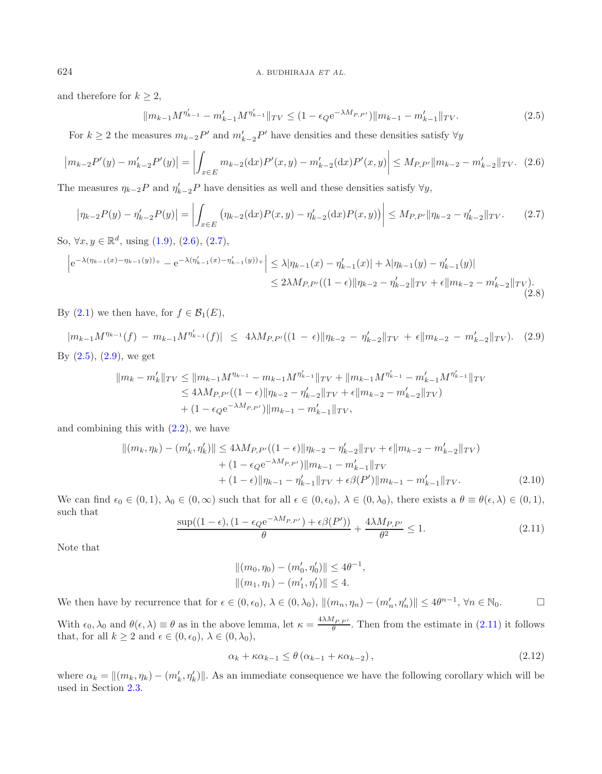and therefore for  $k \geq 2$ ,

<span id="page-10-3"></span><span id="page-10-1"></span><span id="page-10-0"></span>
$$
||m_{k-1}M^{\eta'_{k-1}} - m'_{k-1}M^{\eta'_{k-1}}||_{TV} \le (1 - \epsilon_Q e^{-\lambda M_{P,P'}})||m_{k-1} - m'_{k-1}||_{TV}.
$$
\n(2.5)

For  $k \geq 2$  the measures  $m_{k-2}P'$  and  $m'_{k-2}P'$  have densities and these densities satisfy  $\forall y$ 

$$
\left| m_{k-2} P'(y) - m'_{k-2} P'(y) \right| = \left| \int_{x \in E} m_{k-2}(\mathrm{d}x) P'(x, y) - m'_{k-2}(\mathrm{d}x) P'(x, y) \right| \le M_{P, P'} \| m_{k-2} - m'_{k-2} \|_{TV}. \tag{2.6}
$$

The measures  $\eta_{k-2}P$  and  $\eta'_{k-2}P$  have densities as well and these densities satisfy  $\forall y$ ,

$$
\left|\eta_{k-2}P(y) - \eta'_{k-2}P(y)\right| = \left|\int_{x \in E} \left(\eta_{k-2}(\mathrm{d}x)P(x,y) - \eta'_{k-2}(\mathrm{d}x)P(x,y)\right)\right| \le M_{P,P'} \|\eta_{k-2} - \eta'_{k-2}\|_{TV}.\tag{2.7}
$$

So,  $\forall x, y \in \mathbb{R}^d$ , using  $(1.9), (2.6), (2.7),$  $(1.9), (2.6), (2.7),$  $(1.9), (2.6), (2.7),$  $(1.9), (2.6), (2.7),$  $(1.9), (2.6), (2.7),$  $(1.9), (2.6), (2.7),$ 

$$
\left| e^{-\lambda(\eta_{k-1}(x) - \eta_{k-1}(y))_+} - e^{-\lambda(\eta'_{k-1}(x) - \eta'_{k-1}(y))_+} \right| \le \lambda |\eta_{k-1}(x) - \eta'_{k-1}(x)| + \lambda |\eta_{k-1}(y) - \eta'_{k-1}(y)|
$$
  

$$
\le 2\lambda M_{P,P'}((1-\epsilon) \|\eta_{k-2} - \eta'_{k-2}\|_{TV} + \epsilon \|m_{k-2} - m'_{k-2}\|_{TV}).
$$
\n(2.8)

By  $(2.1)$  we then have, for  $f \in \mathcal{B}_1(E)$ ,

<span id="page-10-4"></span> $|m_{k-1}M^{\eta_{k-1}}(f) - m_{k-1}M^{\eta'_{k-1}}(f)| \leq 4\lambda M_{P,P'}((1-\epsilon)\|\eta_{k-2} - \eta'_{k-2}\|_{TV} + \epsilon \|m_{k-2} - m'_{k-2}\|_{TV}).$  (2.9) By  $(2.5)$ ,  $(2.9)$ , we get

$$
||m_{k} - m'_{k}||_{TV} \le ||m_{k-1}M^{\eta_{k-1}} - m_{k-1}M^{\eta'_{k-1}}||_{TV} + ||m_{k-1}M^{\eta'_{k-1}} - m'_{k-1}M^{\eta'_{k-1}}||_{TV}
$$
  
\n
$$
\le 4\lambda M_{P,P'}((1-\epsilon)||\eta_{k-2} - \eta'_{k-2}||_{TV} + \epsilon||m_{k-2} - m'_{k-2}||_{TV})
$$
  
\n
$$
+ (1 - \epsilon_{Q}e^{-\lambda M_{P,P'}})||m_{k-1} - m'_{k-1}||_{TV},
$$

and combining this with [\(2.2\)](#page-9-0), we have

$$
||(m_k, \eta_k) - (m'_k, \eta'_k)|| \le 4\lambda M_{P,P'}((1 - \epsilon) || \eta_{k-2} - \eta'_{k-2} ||_{TV} + \epsilon || m_{k-2} - m'_{k-2} ||_{TV}) + (1 - \epsilon_Q e^{-\lambda M_{P,P'}}) || m_{k-1} - m'_{k-1} ||_{TV} + (1 - \epsilon) || \eta_{k-1} - \eta'_{k-1} ||_{TV} + \epsilon \beta(P') || m_{k-1} - m'_{k-1} ||_{TV}.
$$
\n(2.10)

We can find  $\epsilon_0 \in (0,1)$ ,  $\lambda_0 \in (0,\infty)$  such that for all  $\epsilon \in (0,\epsilon_0)$ ,  $\lambda \in (0,\lambda_0)$ , there exists a  $\theta \equiv \theta(\epsilon,\lambda) \in (0,1)$ , such that

<span id="page-10-5"></span>
$$
\frac{\sup((1-\epsilon),(1-\epsilon_{Q}\mathrm{e}^{-\lambda M_{P,P'}})+\epsilon\beta(P'))}{\theta}+\frac{4\lambda M_{P,P'}}{\theta^2}\leq 1.
$$
\n(2.11)

<span id="page-10-6"></span>Note that

$$
||(m_0, \eta_0) - (m'_0, \eta'_0)|| \le 4\theta^{-1},
$$
  

$$
||(m_1, \eta_1) - (m'_1, \eta'_1)|| \le 4.
$$

We then have by recurrence that for  $\epsilon \in (0, \epsilon_0)$ ,  $\lambda \in (0, \lambda_0)$ ,  $\|(m_n, \eta_n) - (m'_n, \eta'_n)\| \le 4\theta^{n-1}$ ,  $\forall n \in \mathbb{N}_0$ .

With  $\epsilon_0, \lambda_0$  and  $\theta(\epsilon, \lambda) \equiv \theta$  as in the above lemma, let  $\kappa = \frac{4\lambda M_{P,P'}}{\theta}$ . Then from the estimate in [\(2.11\)](#page-10-4) it follows that, for all  $k \geq 2$  and  $\epsilon \in (0, \epsilon_0)$ ,  $\lambda \in (0, \lambda_0)$ ,

$$
\alpha_k + \kappa \alpha_{k-1} \le \theta \left( \alpha_{k-1} + \kappa \alpha_{k-2} \right),\tag{2.12}
$$

where  $\alpha_k = ||(m_k, \eta_k) - (m'_k, \eta'_k)||$ . As an immediate consequence we have the following corollary which will be used in Section [2.3.](#page-11-0)

<span id="page-10-2"></span>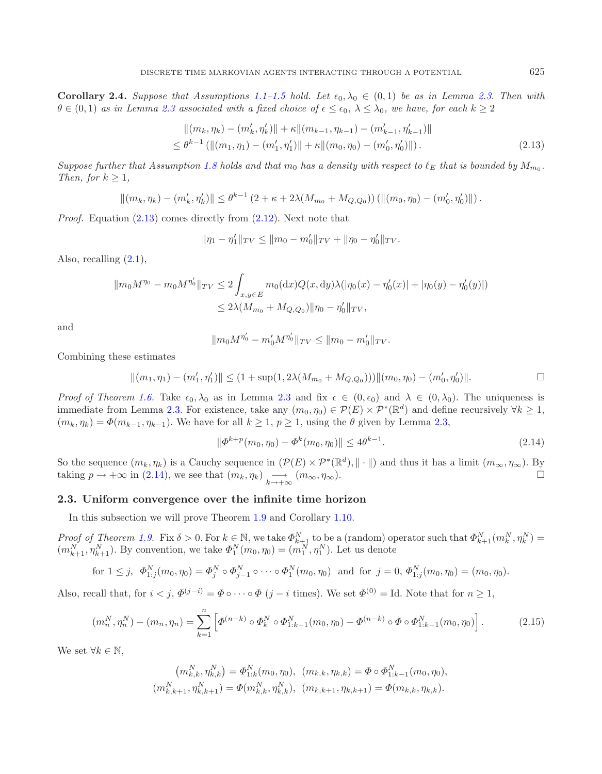<span id="page-11-1"></span>**Corollary 2.4.** *Suppose that Assumptions* [1.1–](#page-4-2)[1.5](#page-5-3) *hold.* Let  $\epsilon_0, \lambda_0 \in (0,1)$  be as in Lemma [2.3.](#page-9-1) Then with  $\theta \in (0,1)$  *as in Lemma [2.3](#page-9-1) associated with a fixed choice of*  $\epsilon \leq \epsilon_0$ ,  $\lambda \leq \lambda_0$ , we have, for each  $k \geq 2$ 

$$
||(m_k, \eta_k) - (m'_k, \eta'_k)|| + \kappa ||(m_{k-1}, \eta_{k-1}) - (m'_{k-1}, \eta'_{k-1})||
$$
  
\n
$$
\leq \theta^{k-1} (||(m_1, \eta_1) - (m'_1, \eta'_1)|| + \kappa ||(m_0, \eta_0) - (m'_0, \eta'_0)||).
$$
\n(2.13)

*Suppose further that Assumption* [1.8](#page-6-2) *holds and that*  $m_0$  *has a density with respect to*  $\ell_E$  *that is bounded by*  $M_{m_0}$ *. Then, for*  $k > 1$ *,* 

$$
||(m_k, \eta_k) - (m'_k, \eta'_k)|| \leq \theta^{k-1} (2 + \kappa + 2\lambda(M_{m_0} + M_{Q,Q_0})) (||(m_0, \eta_0) - (m'_0, \eta'_0)||).
$$

*Proof.* Equation  $(2.13)$  comes directly from  $(2.12)$ . Next note that

$$
\|\eta_1-\eta_1'\|_{TV}\leq \|m_0-m_0'\|_{TV}+\|\eta_0-\eta_0'\|_{TV}.
$$

Also, recalling  $(2.1)$ ,

$$
\|m_0 M^{\eta_0} - m_0 M^{\eta'_0}\|_{TV} \le 2 \int_{x,y \in E} m_0(\mathrm{d}x) Q(x,\mathrm{d}y) \lambda(|\eta_0(x) - \eta'_0(x)| + |\eta_0(y) - \eta'_0(y)|)
$$
  

$$
\le 2\lambda (M_{m_0} + M_{Q,Q_0}) \|\eta_0 - \eta'_0\|_{TV},
$$

and

$$
||m_0 M^{\eta'_0} - m'_0 M^{\eta'_0}||_{TV} \le ||m_0 - m'_0||_{TV}.
$$

Combining these estimates

<span id="page-11-2"></span>
$$
||(m_1, \eta_1) - (m'_1, \eta'_1)|| \le (1 + \sup(1, 2\lambda(M_{m_0} + M_{Q,Q_0}))) ||(m_0, \eta_0) - (m'_0, \eta'_0)||.
$$

*Proof of Theorem [1.6.](#page-5-1)* Take  $\epsilon_0, \lambda_0$  as in Lemma [2.3](#page-9-1) and fix  $\epsilon \in (0, \epsilon_0)$  and  $\lambda \in (0, \lambda_0)$ . The uniqueness is immediate from Lemma [2.3.](#page-9-1) For existence, take any  $(m_0, \eta_0) \in \mathcal{P}(E) \times \mathcal{P}^*(\mathbb{R}^d)$  and define recursively  $\forall k \geq 1$ ,  $(m_k, \eta_k) = \Phi(m_{k-1}, \eta_{k-1})$ . We have for all  $k \geq 1$ ,  $p \geq 1$ , using the  $\theta$  given by Lemma [2.3,](#page-9-1)

$$
\|\Phi^{k+p}(m_0,\eta_0) - \Phi^k(m_0,\eta_0)\| \le 4\theta^{k-1}.\tag{2.14}
$$

So the sequence  $(m_k, \eta_k)$  is a Cauchy sequence in  $(\mathcal{P}(E) \times \mathcal{P}^*(\mathbb{R}^d), || \cdot ||)$  and thus it has a limit  $(m_\infty, \eta_\infty)$ . By taking  $p \to +\infty$  in [\(2.14\)](#page-11-2), we see that  $(m_k, \eta_k) \longrightarrow (m_\infty, \eta_\infty)$ .

### <span id="page-11-0"></span>**2.3. Uniform convergence over the infinite time horizon**

In this subsection we will prove Theorem [1.9](#page-6-1) and Corollary [1.10.](#page-6-0)

*Proof of Theorem [1.9.](#page-6-1)* Fix  $\delta > 0$ . For  $k \in \mathbb{N}$ , we take  $\Phi_{k+1}^N$  to be a (random) operator such that  $\Phi_{k+1}^N(m_k^N, \eta_k^N)$  $(m_{k+1}^N, \eta_{k+1}^N)$ . By convention, we take  $\Phi_1^N(m_0, \eta_0) = (m_1^N, \eta_1^N)$ . Let us denote

for 
$$
1 \leq j
$$
,  $\Phi_{1:j}^N(m_0, \eta_0) = \Phi_j^N \circ \Phi_{j-1}^N \circ \cdots \circ \Phi_1^N(m_0, \eta_0)$  and for  $j = 0$ ,  $\Phi_{1:j}^N(m_0, \eta_0) = (m_0, \eta_0)$ .

Also, recall that, for  $i < j$ ,  $\Phi^{(j-i)} = \Phi \circ \cdots \circ \Phi$   $(j-i$  times). We set  $\Phi^{(0)} = \text{Id}$ . Note that for  $n \ge 1$ ,

$$
(m_n^N, \eta_n^N) - (m_n, \eta_n) = \sum_{k=1}^n \left[ \Phi^{(n-k)} \circ \Phi_k^N \circ \Phi_{1:k-1}^N(m_0, \eta_0) - \Phi^{(n-k)} \circ \Phi \circ \Phi_{1:k-1}^N(m_0, \eta_0) \right].
$$
 (2.15)

We set  $\forall k \in \mathbb{N}$ ,

$$
(m_{k,k}^N, \eta_{k,k}^N) = \Phi_{1:k}^N(m_0, \eta_0), (m_{k,k}, \eta_{k,k}) = \Phi \circ \Phi_{1:k-1}^N(m_0, \eta_0),
$$
  

$$
(m_{k,k+1}^N, \eta_{k,k+1}^N) = \Phi(m_{k,k}^N, \eta_{k,k}^N), (m_{k,k+1}, \eta_{k,k+1}) = \Phi(m_{k,k}, \eta_{k,k}).
$$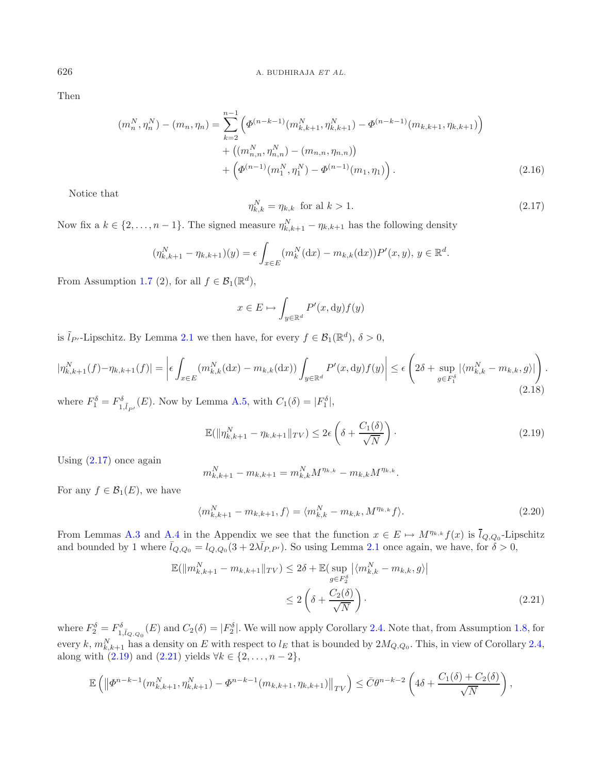Then

$$
(m_n^N, \eta_n^N) - (m_n, \eta_n) = \sum_{k=2}^{n-1} \left( \Phi^{(n-k-1)}(m_{k,k+1}^N, \eta_{k,k+1}^N) - \Phi^{(n-k-1)}(m_{k,k+1}, \eta_{k,k+1}) \right) + \left( (m_{n,n}^N, \eta_{n,n}^N) - (m_{n,n}, \eta_{n,n}) \right) + \left( \Phi^{(n-1)}(m_1^N, \eta_1^N) - \Phi^{(n-1)}(m_1, \eta_1) \right).
$$
\n(2.16)

Notice that

<span id="page-12-3"></span><span id="page-12-1"></span>
$$
\eta_{k,k}^N = \eta_{k,k} \quad \text{for all } k > 1. \tag{2.17}
$$

Now fix a  $k \in \{2, ..., n-1\}$ . The signed measure  $\eta_{k,k+1}^N - \eta_{k,k+1}$  has the following density

$$
(\eta_{k,k+1}^N - \eta_{k,k+1})(y) = \epsilon \int_{x \in E} (m_k^N(\mathrm{d}x) - m_{k,k}(\mathrm{d}x)) P'(x, y), y \in \mathbb{R}^d.
$$

From Assumption [1.7](#page-5-4) (2), for all  $f \in \mathcal{B}_1(\mathbb{R}^d)$ ,

$$
x \in E \mapsto \int_{y \in \mathbb{R}^d} P'(x, dy) f(y)
$$

<span id="page-12-4"></span>is  $\tilde{l}_{P'}$ -Lipschitz. By Lemma [2.1](#page-8-1) we then have, for every  $f \in \mathcal{B}_1(\mathbb{R}^d)$ ,  $\delta > 0$ ,

$$
|\eta_{k,k+1}^{N}(f) - \eta_{k,k+1}(f)| = \left| \epsilon \int_{x \in E} (m_{k,k}^{N}(\mathrm{d}x) - m_{k,k}(\mathrm{d}x)) \int_{y \in \mathbb{R}^{d}} P'(x, \mathrm{d}y) f(y) \right| \le \epsilon \left( 2\delta + \sup_{g \in F_{1}^{\delta}} |\langle m_{k,k}^{N} - m_{k,k}, g \rangle| \right). \tag{2.18}
$$

where  $F_1^{\delta} = F_{1,\tilde{l}_{P'}}^{\delta}(E)$ . Now by Lemma [A.5,](#page-5-3) with  $C_1(\delta) = |F_1^{\delta}|$ ,

$$
\mathbb{E}(\|\eta_{k,k+1}^N - \eta_{k,k+1}\|_{TV}) \le 2\epsilon \left(\delta + \frac{C_1(\delta)}{\sqrt{N}}\right). \tag{2.19}
$$

Using  $(2.17)$  once again

$$
m_{k,k+1}^N - m_{k,k+1} = m_{k,k}^N M^{\eta_{k,k}} - m_{k,k} M^{\eta_{k,k}}.
$$

For any  $f \in \mathcal{B}_1(E)$ , we have

$$
\langle m_{k,k+1}^N - m_{k,k+1}, f \rangle = \langle m_{k,k}^N - m_{k,k}, M^{\eta_{k,k}} f \rangle.
$$
 (2.20)

<span id="page-12-2"></span>From Lemmas [A.3](#page-5-0) and [A.4](#page-5-2) in the Appendix we see that the function  $x \in E \mapsto M^{\eta_{k,k}} f(x)$  is  $\overline{l}_{Q,Q_0}$ -Lipschitz and bounded by 1 where  $\bar{l}_{Q,Q_0} = l_{Q,Q_0} (3 + 2\lambda \bar{l}_{P,P'})$ . So using Lemma [2.1](#page-8-1) once again, we have, for  $\delta > 0$ ,

$$
\mathbb{E}(\|m_{k,k+1}^N - m_{k,k+1}\|_{TV}) \le 2\delta + \mathbb{E}\left(\sup_{g \in F_2^{\delta}} \left|\langle m_{k,k}^N - m_{k,k}, g \rangle\right|\right)
$$
  

$$
\le 2\left(\delta + \frac{C_2(\delta)}{\sqrt{N}}\right).
$$
 (2.21)

where  $F_2^{\delta} = F_{1,\bar{l}_{Q,Q_0}}^{\delta}(E)$  and  $C_2(\delta) = |F_2^{\delta}|$ . We will now apply Corollary [2.4.](#page-10-6) Note that, from Assumption [1.8,](#page-6-2) for every k,  $m_{k,k+1}^N$  has a density on E with respect to  $l_E$  that is bounded by  $2M_{Q,Q_0}$ . This, in view of Corollary [2.4,](#page-10-6) along with  $(2.19)$  and  $(2.21)$  yields  $\forall k \in \{2, ..., n-2\},$ 

$$
\mathbb{E}\left(\left\|\Phi^{n-k-1}(m_{k,k+1}^N, \eta_{k,k+1}^N) - \Phi^{n-k-1}(m_{k,k+1}, \eta_{k,k+1})\right\|_{TV}\right) \leq \bar{C}\theta^{n-k-2}\left(4\delta + \frac{C_1(\delta) + C_2(\delta)}{\sqrt{N}}\right),
$$

<span id="page-12-0"></span>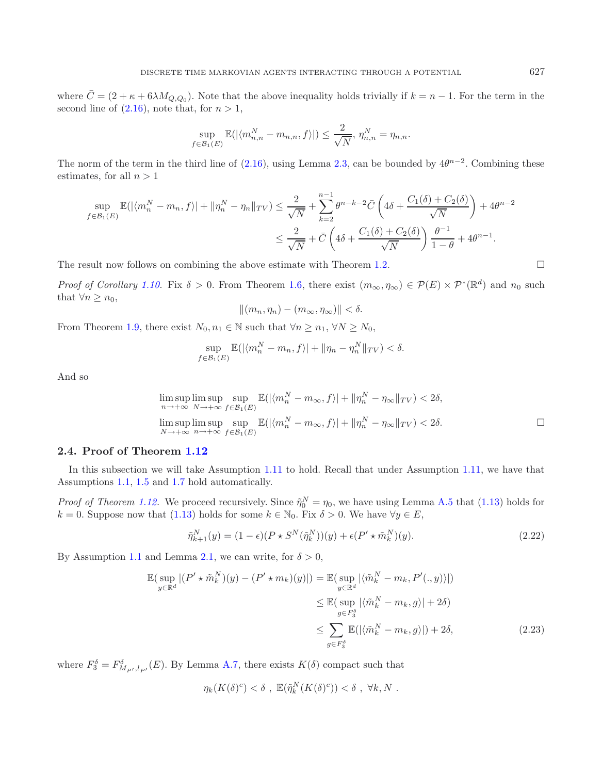where  $\bar{C} = (2 + \kappa + 6\lambda M_{Q,Q_0})$ . Note that the above inequality holds trivially if  $k = n - 1$ . For the term in the second line of  $(2.16)$ , note that, for  $n > 1$ ,

$$
\sup_{f \in \mathcal{B}_1(E)} \mathbb{E}(|\langle m_{n,n}^N - m_{n,n}, f \rangle|) \le \frac{2}{\sqrt{N}}, \eta_{n,n}^N = \eta_{n,n}.
$$

The norm of the term in the third line of [\(2.16\)](#page-12-3), using Lemma [2.3,](#page-9-1) can be bounded by  $4\theta^{n-2}$ . Combining these estimates, for all  $n > 1$ 

$$
\sup_{f \in \mathcal{B}_1(E)} \mathbb{E}(|\langle m_n^N - m_n, f \rangle| + ||\eta_n^N - \eta_n||_{TV}) \le \frac{2}{\sqrt{N}} + \sum_{k=2}^{n-1} \theta^{n-k-2} \bar{C} \left( 4\delta + \frac{C_1(\delta) + C_2(\delta)}{\sqrt{N}} \right) + 4\theta^{n-2}
$$
  

$$
\le \frac{2}{\sqrt{N}} + \bar{C} \left( 4\delta + \frac{C_1(\delta) + C_2(\delta)}{\sqrt{N}} \right) \frac{\theta^{-1}}{1 - \theta} + 4\theta^{n-1}.
$$

The result now follows on combining the above estimate with Theorem [1.2.](#page-4-0)  $\Box$ 

*Proof of Corollary* [1.10.](#page-6-0) Fix  $\delta > 0$ . From Theorem [1.6,](#page-5-1) there exist  $(m_{\infty}, \eta_{\infty}) \in \mathcal{P}(E) \times \mathcal{P}^*(\mathbb{R}^d)$  and  $n_0$  such that  $\forall n \geq n_0$ ,

<span id="page-13-0"></span>
$$
||(m_n, \eta_n) - (m_\infty, \eta_\infty)|| < \delta.
$$

From Theorem [1.9,](#page-6-1) there exist  $N_0, n_1 \in \mathbb{N}$  such that  $\forall n \geq n_1, \forall N \geq N_0$ ,

$$
\sup_{f\in\mathcal{B}_1(E)} \mathbb{E}(|\langle m_n^N - m_n, f\rangle| + \|\eta_n - \eta_n^N\|_{TV}) < \delta.
$$

And so

$$
\limsup_{n \to +\infty} \limsup_{N \to +\infty} \sup_{f \in \mathcal{B}_1(E)} \mathbb{E}(|\langle m_n^N - m_\infty, f \rangle| + ||\eta_n^N - \eta_\infty||_{TV}) < 2\delta,
$$
  

$$
\limsup_{N \to +\infty} \limsup_{n \to +\infty} \sup_{f \in \mathcal{B}_1(E)} \mathbb{E}(|\langle m_n^N - m_\infty, f \rangle| + ||\eta_n^N - \eta_\infty||_{TV}) < 2\delta.
$$

### **2.4. Proof of Theorem [1.12](#page-7-4)**

In this subsection we will take Assumption [1.11](#page-7-1) to hold. Recall that under Assumption [1.11,](#page-7-1) we have that Assumptions [1.1,](#page-4-2) [1.5](#page-5-3) and [1.7](#page-5-4) hold automatically.

*Proof of Theorem [1.12.](#page-7-4)* We proceed recursively. Since  $\tilde{\eta}_0^N = \eta_0$ , we have using Lemma [A.5](#page-5-3) that [\(1.13\)](#page-7-5) holds for  $k = 0$ . Suppose now that [\(1.13\)](#page-7-5) holds for some  $k \in \mathbb{N}_0$ . Fix  $\delta > 0$ . We have  $\forall y \in E$ ,

$$
\tilde{\eta}_{k+1}^N(y) = (1 - \epsilon)(P \star S^N(\tilde{\eta}_k^N))(y) + \epsilon(P' \star \tilde{m}_k^N)(y). \tag{2.22}
$$

By Assumption [1.1](#page-4-2) and Lemma [2.1,](#page-8-1) we can write, for  $\delta > 0$ ,

$$
\mathbb{E}(\sup_{y \in \mathbb{R}^d} |(P' \star \tilde{m}_k^N)(y) - (P' \star m_k)(y)|) = \mathbb{E}(\sup_{y \in \mathbb{R}^d} |\langle \tilde{m}_k^N - m_k, P'(. , y) \rangle|)
$$
  
\n
$$
\leq \mathbb{E}(\sup_{g \in F_3^{\delta}} |\langle \tilde{m}_k^N - m_k, g \rangle| + 2\delta)
$$
  
\n
$$
\leq \sum_{g \in F_3^{\delta}} \mathbb{E}(|\langle \tilde{m}_k^N - m_k, g \rangle|) + 2\delta,
$$
\n(2.23)

where  $F_3^{\delta} = F_{M_{P'},l_{P'}}^{\delta}(E)$ . By Lemma [A.7,](#page-5-4) there exists  $K(\delta)$  compact such that

$$
\eta_k(K(\delta)^c) < \delta \;, \; \mathbb{E}(\tilde{\eta}_k^N(K(\delta)^c)) < \delta \;, \; \forall k, N \; .
$$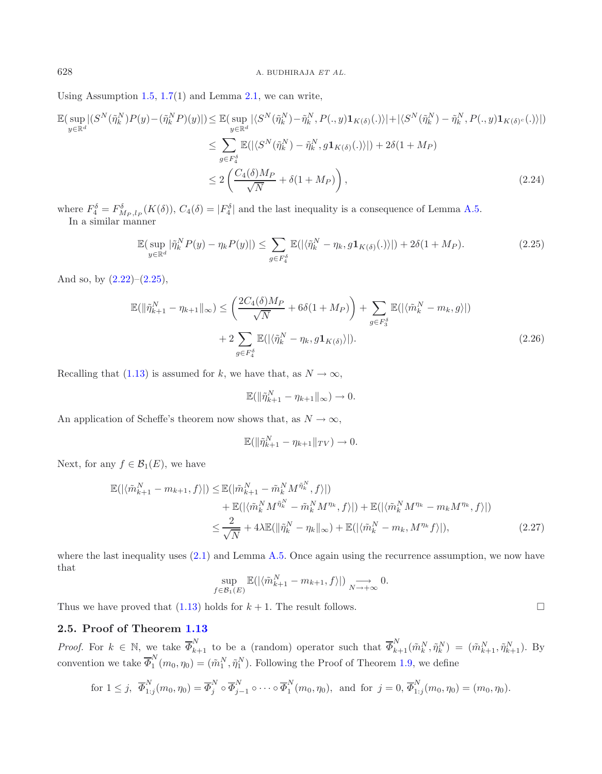Using Assumption  $1.5, 1.7(1)$  $1.5, 1.7(1)$  $1.5, 1.7(1)$  $1.5, 1.7(1)$  and Lemma  $2.1$ , we can write,

$$
\mathbb{E}\left(\sup_{y\in\mathbb{R}^d}|\left(S^N(\tilde{\eta}_k^N)P(y)-(\tilde{\eta}_k^NP)(y)|\right)\leq \mathbb{E}\left(\sup_{y\in\mathbb{R}^d}|\left\langle S^N(\tilde{\eta}_k^N)-\tilde{\eta}_k^N,P(.,y)\mathbf{1}_{K(\delta)}(.)\right\rangle|+|\left\langle S^N(\tilde{\eta}_k^N)-\tilde{\eta}_k^N,P(.,y)\mathbf{1}_{K(\delta)^c}(.)\right\rangle|\right)
$$
\n
$$
\leq \sum_{g\in F_4^{\delta}}\mathbb{E}(|\left\langle S^N(\tilde{\eta}_k^N)-\tilde{\eta}_k^N,g\mathbf{1}_{K(\delta)}(.)\right\rangle|)+2\delta(1+M_P)
$$
\n
$$
\leq 2\left(\frac{C_4(\delta)M_P}{\sqrt{N}}+\delta(1+M_P)\right),\tag{2.24}
$$

where  $F_4^{\delta} = F_{M_P, l_P}^{\delta}(K(\delta))$ ,  $C_4(\delta) = |F_4^{\delta}|$  and the last inequality is a consequence of Lemma [A.5.](#page-5-3) In a similar manner

<span id="page-14-1"></span>
$$
\mathbb{E}(\sup_{y\in\mathbb{R}^d}|\tilde{\eta}_k^N P(y) - \eta_k P(y)|) \le \sum_{g\in F_4^{\delta}} \mathbb{E}(|\langle \tilde{\eta}_k^N - \eta_k, g\mathbf{1}_{K(\delta)}(.)\rangle|) + 2\delta(1 + M_P). \tag{2.25}
$$

And so, by  $(2.22)$ – $(2.25)$ ,

$$
\mathbb{E}(\|\tilde{\eta}_{k+1}^N - \eta_{k+1}\|_{\infty}) \leq \left(\frac{2C_4(\delta)M_P}{\sqrt{N}} + 6\delta(1 + M_P)\right) + \sum_{g \in F_3^{\delta}} \mathbb{E}(|\langle \tilde{m}_k^N - m_k, g \rangle|)
$$
  
+ 
$$
2 \sum_{g \in F_4^{\delta}} \mathbb{E}(|\langle \tilde{\eta}_k^N - \eta_k, g \mathbf{1}_{K(\delta)} \rangle|).
$$
 (2.26)

Recalling that [\(1.13\)](#page-7-5) is assumed for k, we have that, as  $N \to \infty$ ,

$$
\mathbb{E}(\|\tilde{\eta}_{k+1}^N - \eta_{k+1}\|_{\infty}) \to 0.
$$

An application of Scheffe's theorem now shows that, as  $N \to \infty$ ,

$$
\mathbb{E}(\|\tilde{\eta}_{k+1}^N - \eta_{k+1}\|_{TV}) \to 0.
$$

Next, for any  $f \in \mathcal{B}_1(E)$ , we have

$$
\mathbb{E}(|\langle \tilde{m}_{k+1}^N - m_{k+1}, f \rangle|) \leq \mathbb{E}(|\tilde{m}_{k+1}^N - \tilde{m}_k^N M^{\tilde{\eta}_k^N}, f \rangle|)
$$
  
+ 
$$
\mathbb{E}(|\langle \tilde{m}_k^N M^{\tilde{\eta}_k^N} - \tilde{m}_k^N M^{\eta_k}, f \rangle|) + \mathbb{E}(|\langle \tilde{m}_k^N M^{\eta_k} - m_k M^{\eta_k}, f \rangle|)
$$
  

$$
\leq \frac{2}{\sqrt{N}} + 4\lambda \mathbb{E}(\|\tilde{\eta}_k^N - \eta_k\|_{\infty}) + \mathbb{E}(|\langle \tilde{m}_k^N - m_k, M^{\eta_k} f \rangle|),
$$
(2.27)

 $\Box$ 

where the last inequality uses  $(2.1)$  and Lemma [A.5.](#page-5-3) Once again using the recurrence assumption, we now have that

$$
\sup_{f \in \mathcal{B}_1(E)} \mathbb{E}(|\langle \tilde{m}_{k+1}^N - m_{k+1}, f \rangle|) \underset{N \to +\infty}{\longrightarrow} 0.
$$

Thus we have proved that  $(1.13)$  holds for  $k + 1$ . The result follows.

### **2.5. Proof of Theorem [1.13](#page-7-3)**

*Proof.* For  $k \in \mathbb{N}$ , we take  $\overline{\Phi}_{k+1}^N$  to be a (random) operator such that  $\overline{\Phi}_{k+1}^N(\tilde{m}_k^N, \tilde{\eta}_k^N) = (\tilde{m}_{k+1}^N, \tilde{\eta}_{k+1}^N)$ . By convention we take  $\overline{\Phi}_1^N(m_0, \eta_0) = (\tilde{m}_1^N, \tilde{\eta}_1^N)$ . Following the Proof of Theorem [1.9,](#page-6-1) we define

for 
$$
1 \leq j
$$
,  $\overline{\Phi}_{1:j}^N(m_0, \eta_0) = \overline{\Phi}_j^N \circ \overline{\Phi}_{j-1}^N \circ \cdots \circ \overline{\Phi}_1^N(m_0, \eta_0)$ , and for  $j = 0$ ,  $\overline{\Phi}_{1:j}^N(m_0, \eta_0) = (m_0, \eta_0)$ .

<span id="page-14-0"></span>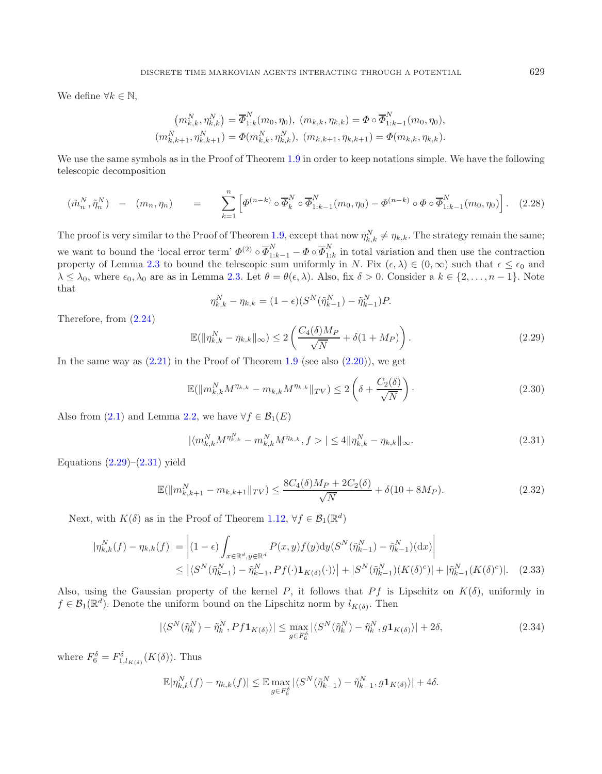We define  $\forall k \in \mathbb{N}$ ,

$$
(m_{k,k}^N, \eta_{k,k}^N) = \overline{\Phi}_{1:k}^N(m_0, \eta_0), (m_{k,k}, \eta_{k,k}) = \Phi \circ \overline{\Phi}_{1:k-1}^N(m_0, \eta_0),
$$
  

$$
(m_{k,k+1}^N, \eta_{k,k+1}^N) = \Phi(m_{k,k}^N, \eta_{k,k}^N), (m_{k,k+1}, \eta_{k,k+1}) = \Phi(m_{k,k}, \eta_{k,k}).
$$

<span id="page-15-0"></span>We use the same symbols as in the Proof of Theorem [1.9](#page-6-1) in order to keep notations simple. We have the following telescopic decomposition

$$
(\tilde{m}_n^N, \tilde{\eta}_n^N) - (m_n, \eta_n) = \sum_{k=1}^n \left[ \Phi^{(n-k)} \circ \overline{\Phi}_k^N \circ \overline{\Phi}_{1:k-1}^N(m_0, \eta_0) - \Phi^{(n-k)} \circ \Phi \circ \overline{\Phi}_{1:k-1}^N(m_0, \eta_0) \right].
$$
 (2.28)

The proof is very similar to the Proof of Theorem [1.9,](#page-6-1) except that now  $\eta_{k,k}^N \neq \eta_{k,k}$ . The strategy remain the same; we want to bound the 'local error term'  $\Phi^{(2)} \circ \overline{\Phi}_{1:k-1}^N - \Phi \circ \overline{\Phi}_{1:k}^N$  in total variation and then use the contraction property of Lemma [2.3](#page-9-1) to bound the telescopic sum uniformly in N. Fix  $(\epsilon, \lambda) \in (0, \infty)$  such that  $\epsilon \leq \epsilon_0$  and  $\lambda \leq \lambda_0$ , where  $\epsilon_0, \lambda_0$  are as in Lemma [2.3.](#page-9-1) Let  $\theta = \theta(\epsilon, \lambda)$ . Also, fix  $\delta > 0$ . Consider a  $k \in \{2, ..., n-1\}$ . Note that

<span id="page-15-1"></span>
$$
\eta_{k,k}^N - \eta_{k,k} = (1 - \epsilon)(S^N(\tilde{\eta}_{k-1}^N) - \tilde{\eta}_{k-1}^N)P.
$$

Therefore, from [\(2.24\)](#page-14-1)

$$
\mathbb{E}(\|\eta_{k,k}^N - \eta_{k,k}\|_{\infty}) \le 2\left(\frac{C_4(\delta)M_P}{\sqrt{N}} + \delta(1+M_P)\right). \tag{2.29}
$$

In the same way as  $(2.21)$  in the Proof of Theorem [1.9](#page-6-1) (see also  $(2.20)$ ), we get

$$
\mathbb{E}(\|m_{k,k}^N M^{\eta_{k,k}} - m_{k,k} M^{\eta_{k,k}}\|_{TV}) \le 2\left(\delta + \frac{C_2(\delta)}{\sqrt{N}}\right). \tag{2.30}
$$

Also from [\(2.1\)](#page-8-2) and Lemma [2.2,](#page-8-0) we have  $\forall f \in \mathcal{B}_1(E)$ 

$$
|\langle m_{k,k}^N M^{\eta_{k,k}^N} - m_{k,k}^N M^{\eta_{k,k}}, f \rangle| \le 4 \|\eta_{k,k}^N - \eta_{k,k}\|_{\infty}.
$$
 (2.31)

Equations  $(2.29)$ – $(2.31)$  yield

$$
\mathbb{E}(\|m_{k,k+1}^N - m_{k,k+1}\|_{TV}) \le \frac{8C_4(\delta)M_P + 2C_2(\delta)}{\sqrt{N}} + \delta(10 + 8M_P). \tag{2.32}
$$

<span id="page-15-2"></span>Next, with  $K(\delta)$  as in the Proof of Theorem [1.12,](#page-7-4)  $\forall f \in \mathcal{B}_1(\mathbb{R}^d)$ 

$$
|\eta_{k,k}^{N}(f) - \eta_{k,k}(f)| = \left| (1 - \epsilon) \int_{x \in \mathbb{R}^d, y \in \mathbb{R}^d} P(x, y) f(y) dy(S^{N}(\tilde{\eta}_{k-1}^{N}) - \tilde{\eta}_{k-1}^{N})(dx) \right|
$$
  
 
$$
\leq |\langle S^{N}(\tilde{\eta}_{k-1}^{N}) - \tilde{\eta}_{k-1}^{N}, Pf(\cdot) \mathbf{1}_{K(\delta)}(\cdot) \rangle| + |S^{N}(\tilde{\eta}_{k-1}^{N})(K(\delta)^{c})| + |\tilde{\eta}_{k-1}^{N}(K(\delta)^{c})|.
$$
 (2.33)

Also, using the Gaussian property of the kernel P, it follows that Pf is Lipschitz on  $K(\delta)$ , uniformly in  $f \in \mathcal{B}_1(\mathbb{R}^d)$ . Denote the uniform bound on the Lipschitz norm by  $l_{K(\delta)}$ . Then

$$
|\langle S^N(\tilde{\eta}_k^N) - \tilde{\eta}_k^N, Pf\mathbf{1}_{K(\delta)}\rangle| \le \max_{g \in F_6^{\delta}} |\langle S^N(\tilde{\eta}_k^N) - \tilde{\eta}_k^N, g\mathbf{1}_{K(\delta)}\rangle| + 2\delta,
$$
\n(2.34)

where  $F_6^{\delta} = F_{1,l_{K(\delta)}}^{\delta}(K(\delta))$ . Thus

$$
\mathbb{E}|\eta_{k,k}^N(f) - \eta_{k,k}(f)| \leq \mathbb{E}\max_{g \in F_6^{\delta}}|\langle S^N(\tilde{\eta}_{k-1}^N) - \tilde{\eta}_{k-1}^N, g\mathbf{1}_{K(\delta)}\rangle| + 4\delta.
$$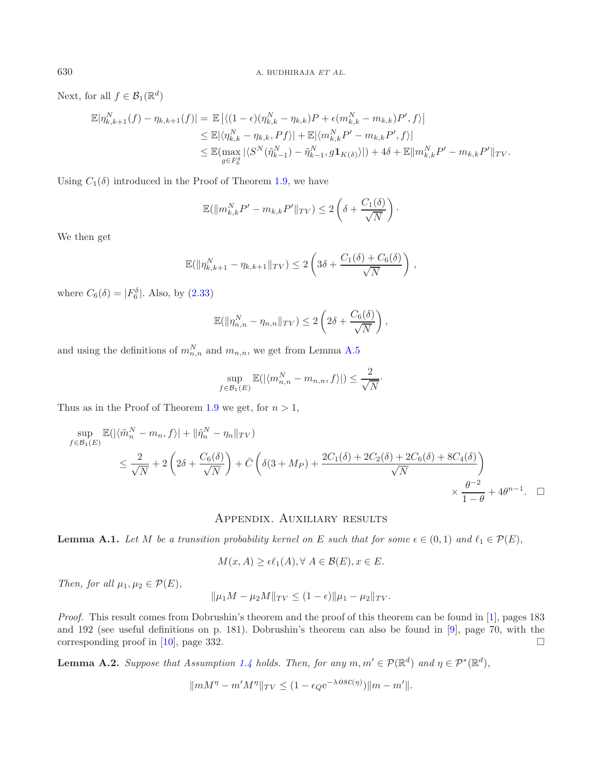Next, for all  $f \in \mathcal{B}_1(\mathbb{R}^d)$ 

$$
\mathbb{E}|\eta_{k,k+1}^{N}(f) - \eta_{k,k+1}(f)| = \mathbb{E}|\langle (1-\epsilon)(\eta_{k,k}^{N} - \eta_{k,k})P + \epsilon(m_{k,k}^{N} - m_{k,k})P', f \rangle|
$$
  
\n
$$
\leq \mathbb{E}|\langle \eta_{k,k}^{N} - \eta_{k,k}, Pf \rangle| + \mathbb{E}|\langle m_{k,k}^{N}P' - m_{k,k}P', f \rangle|
$$
  
\n
$$
\leq \mathbb{E}(\max_{g \in F_{6}^{\delta}}|\langle S^{N}(\tilde{\eta}_{k-1}^{N}) - \tilde{\eta}_{k-1}^{N}, g\mathbf{1}_{K(\delta)} \rangle|) + 4\delta + \mathbb{E}\|m_{k,k}^{N}P' - m_{k,k}P'\|_{TV}.
$$

Using  $C_1(\delta)$  introduced in the Proof of Theorem [1.9,](#page-6-1) we have

$$
\mathbb{E}(\|m_{k,k}^N P' - m_{k,k} P'\|_{TV}) \le 2\left(\delta + \frac{C_1(\delta)}{\sqrt{N}}\right).
$$

We then get

$$
\mathbb{E}(\|\eta_{k,k+1}^N - \eta_{k,k+1}\|_{TV}) \le 2\left(3\delta + \frac{C_1(\delta) + C_6(\delta)}{\sqrt{N}}\right),
$$

where  $C_6(\delta) = |F_6^{\delta}|$ . Also, by  $(2.33)$ 

$$
\mathbb{E}(\|\eta_{n,n}^N - \eta_{n,n}\|_{TV}) \le 2\left(2\delta + \frac{C_6(\delta)}{\sqrt{N}}\right),
$$

and using the definitions of  $m_{n,n}^N$  and  $m_{n,n}$ , we get from Lemma [A.5](#page-5-3)

$$
\sup_{f \in \mathcal{B}_1(E)} \mathbb{E}(|\langle m_{n,n}^N - m_{n,n}, f \rangle|) \le \frac{2}{\sqrt{N}}.
$$

Thus as in the Proof of Theorem [1.9](#page-6-1) we get, for  $n > 1$ ,

$$
\sup_{f \in \mathcal{B}_1(E)} \mathbb{E}(|\langle \tilde{m}_n^N - m_n, f \rangle| + ||\tilde{\eta}_n^N - \eta_n||_{TV})
$$
\n
$$
\leq \frac{2}{\sqrt{N}} + 2\left(2\delta + \frac{C_6(\delta)}{\sqrt{N}}\right) + \bar{C}\left(\delta(3 + M_P) + \frac{2C_1(\delta) + 2C_2(\delta) + 2C_6(\delta) + 8C_4(\delta)}{\sqrt{N}}\right)
$$
\n
$$
\times \frac{\theta^{-2}}{1 - \theta} + 4\theta^{n-1}.\quad \Box
$$

### Appendix. Auxiliary results

**Lemma A.1.** Let M be a transition probability kernel on E such that for some  $\epsilon \in (0,1)$  and  $\ell_1 \in \mathcal{P}(E)$ ,

$$
M(x, A) \ge \epsilon \ell_1(A), \forall A \in \mathcal{B}(E), x \in E.
$$

*Then, for all*  $\mu_1, \mu_2 \in \mathcal{P}(E)$ *,* 

$$
\|\mu_1 M - \mu_2 M\|_{TV} \le (1 - \epsilon) \|\mu_1 - \mu_2\|_{TV}.
$$

*Proof.* This result comes from Dobrushin's theorem and the proof of this theorem can be found in [\[1\]](#page-20-16), pages 183 and 192 (see useful definitions on p. 181). Dobrushin's theorem can also be found in [\[9\]](#page-20-17), page 70, with the corresponding proof in  $[10]$  $[10]$ , page 332.  $\Box$ 

**Lemma A.2.** *Suppose that Assumption* [1.4](#page-5-2) *holds. Then, for any*  $m, m' \in \mathcal{P}(\mathbb{R}^d)$  *and*  $\eta \in \mathcal{P}^*(\mathbb{R}^d)$ *,* 

$$
||mM^{\eta} - m'M^{\eta}||_{TV} \le (1 - \epsilon_Q e^{-\lambda \text{osc}(\eta)})||m - m'||.
$$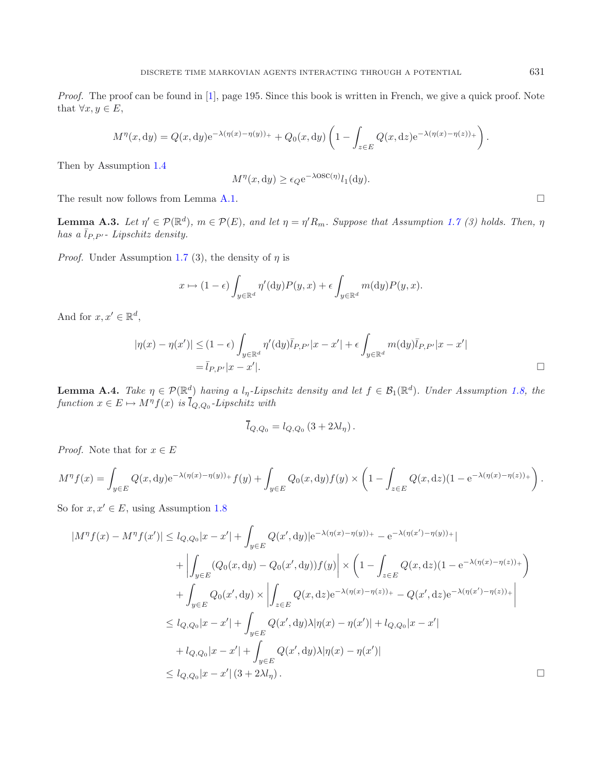*Proof.* The proof can be found in [\[1](#page-20-16)], page 195. Since this book is written in French, we give a quick proof. Note that  $\forall x, y \in E$ ,

$$
M^{\eta}(x,dy) = Q(x,dy)e^{-\lambda(\eta(x)-\eta(y))_{+}} + Q_0(x,dy)\left(1 - \int_{z\in E} Q(x,dz)e^{-\lambda(\eta(x)-\eta(z))_{+}}\right).
$$

Then by Assumption [1.4](#page-5-2)

$$
M^{\eta}(x, \mathrm{d}y) \ge \epsilon_Q \mathrm{e}^{-\lambda \mathrm{OSC}(\eta)} l_1(\mathrm{d}y).
$$

The result now follows from Lemma [A.1.](#page-4-2)  $\Box$ 

**Lemma A.3.** *Let*  $\eta' \in \mathcal{P}(\mathbb{R}^d)$ ,  $m \in \mathcal{P}(E)$ , and let  $\eta = \eta' R_m$ . Suppose that Assumption [1.7](#page-5-4) (3) holds. Then,  $\eta$  $has\ a\ \bar{l}_{P,P'}$ - Lipschitz density.

*Proof.* Under Assumption [1.7](#page-5-4) (3), the density of  $\eta$  is

$$
x \mapsto (1 - \epsilon) \int_{y \in \mathbb{R}^d} \eta'(\mathrm{d}y) P(y, x) + \epsilon \int_{y \in \mathbb{R}^d} m(\mathrm{d}y) P(y, x).
$$

And for  $x, x' \in \mathbb{R}^d$ ,

$$
|\eta(x) - \eta(x')| \le (1 - \epsilon) \int_{y \in \mathbb{R}^d} \eta'(dy) \overline{l}_{P, P'} |x - x'| + \epsilon \int_{y \in \mathbb{R}^d} m(dy) \overline{l}_{P, P'} |x - x'|
$$
  
=  $\overline{l}_{P, P'} |x - x'|$ .

**Lemma A.4.** *Take*  $\eta \in \mathcal{P}(\mathbb{R}^d)$  *having a*  $l_\eta$ -Lipschitz density and let  $f \in \mathcal{B}_1(\mathbb{R}^d)$ . Under Assumption [1.8,](#page-6-2) the  $function x \in E \mapsto M^{\eta}f(x)$  *is*  $\overline{l}_{Q,Q_0}$ -Lipschitz with

$$
\overline{l}_{Q,Q_0}=l_{Q,Q_0}\left(3+2\lambda l_\eta\right).
$$

*Proof.* Note that for  $x \in E$ 

$$
M^{\eta} f(x) = \int_{y \in E} Q(x, dy) e^{-\lambda(\eta(x) - \eta(y))_+} f(y) + \int_{y \in E} Q_0(x, dy) f(y) \times \left(1 - \int_{z \in E} Q(x, dz) (1 - e^{-\lambda(\eta(x) - \eta(z))_+}\right).
$$

So for  $x, x' \in E$ , using Assumption [1.8](#page-6-2)

$$
|M^{\eta}f(x) - M^{\eta}f(x')| \le l_{Q,Q_0}|x - x'| + \int_{y \in E} Q(x', dy)|e^{-\lambda(\eta(x) - \eta(y))_{+}} - e^{-\lambda(\eta(x') - \eta(y))_{+}}|
$$
  
+ 
$$
\left| \int_{y \in E} (Q_0(x, dy) - Q_0(x', dy))f(y) \right| \times \left(1 - \int_{z \in E} Q(x, dz)(1 - e^{-\lambda(\eta(x) - \eta(z))_{+}}) + \int_{y \in E} Q_0(x', dy) \times \left| \int_{z \in E} Q(x, dz)e^{-\lambda(\eta(x) - \eta(z))_{+}} - Q(x', dz)e^{-\lambda(\eta(x') - \eta(z))_{+}} \right|
$$
  

$$
\le l_{Q,Q_0}|x - x'| + \int_{y \in E} Q(x', dy)\lambda|\eta(x) - \eta(x')| + l_{Q,Q_0}|x - x'|
$$
  
+ 
$$
l_{Q,Q_0}|x - x'| + \int_{y \in E} Q(x', dy)\lambda|\eta(x) - \eta(x')|
$$
  

$$
\le l_{Q,Q_0}|x - x'| (3 + 2\lambda l_{\eta}).
$$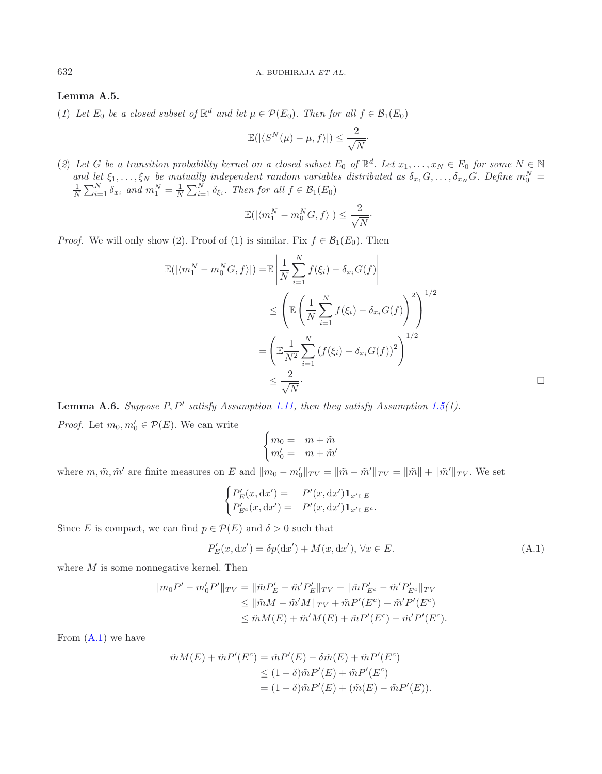### **Lemma A.5.**

(*1*) *Let*  $E_0$  *be a closed subset of*  $\mathbb{R}^d$  *and let*  $\mu \in \mathcal{P}(E_0)$ *. Then for all*  $f \in \mathcal{B}_1(E_0)$ 

$$
\mathbb{E}(|\langle S^N(\mu)-\mu,f\rangle|)\leq \frac{2}{\sqrt{N}}\cdot
$$

(2) Let G be a transition probability kernel on a closed subset  $E_0$  of  $\mathbb{R}^d$ . Let  $x_1, \ldots, x_N \in E_0$  for some  $N \in \mathbb{N}$ and let  $\xi_1, ..., \xi_N$  be mutually independent random variables distributed as  $\delta_{x_1}G, ..., \delta_{x_N}G$ . Define  $m_0^N = \frac{1}{N} \sum_{i=1}^N \delta_{x_i}$  and  $m_1^N = \frac{1}{N} \sum_{i=1}^N \delta_{\xi_i}$ . Then for all  $f \in \mathcal{B}_1(E_0)$ 

$$
\mathbb{E}(|\langle m_1^N - m_0^N G, f \rangle|) \le \frac{2}{\sqrt{N}}.
$$

*Proof.* We will only show (2). Proof of (1) is similar. Fix  $f \in \mathcal{B}_1(E_0)$ . Then

$$
\mathbb{E}(|\langle m_1^N - m_0^N G, f \rangle|) = \mathbb{E} \left| \frac{1}{N} \sum_{i=1}^N f(\xi_i) - \delta_{x_i} G(f) \right|
$$
  
\n
$$
\leq \left( \mathbb{E} \left( \frac{1}{N} \sum_{i=1}^N f(\xi_i) - \delta_{x_i} G(f) \right)^2 \right)^{1/2}
$$
  
\n
$$
= \left( \mathbb{E} \frac{1}{N^2} \sum_{i=1}^N (f(\xi_i) - \delta_{x_i} G(f))^2 \right)^{1/2}
$$
  
\n
$$
\leq \frac{2}{\sqrt{N}}.
$$

**Lemma A.6.** *Suppose* P, P *satisfy Assumption [1.11,](#page-7-1) then they satisfy Assumption [1.5\(](#page-5-3)1). Proof.* Let  $m_0, m'_0 \in \mathcal{P}(E)$ . We can write

<span id="page-18-0"></span>
$$
\begin{cases} m_0 = m + \tilde{m} \\ m'_0 = m + \tilde{m}' \end{cases}
$$

where  $m, \tilde{m}, \tilde{m}'$  are finite measures on E and  $||m_0 - m'_0||_{TV} = ||\tilde{m} - \tilde{m}'||_{TV} = ||\tilde{m}|| + ||\tilde{m}'||_{TV}$ . We set

$$
\begin{cases}\nP'_E(x, dx') = P'(x, dx')\mathbf{1}_{x' \in E} \\
P'_{E^c}(x, dx') = P'(x, dx')\mathbf{1}_{x' \in E^c}.\n\end{cases}
$$

Since E is compact, we can find  $p \in \mathcal{P}(E)$  and  $\delta > 0$  such that

$$
P'_{E}(x, dx') = \delta p(dx') + M(x, dx'), \forall x \in E.
$$
\n(A.1)

 $\Box$ 

where M is some nonnegative kernel. Then

$$
\|m_0 P' - m'_0 P'\|_{TV} = \|\tilde{m}P'_E - \tilde{m}'P'_E\|_{TV} + \|\tilde{m}P'_{E^c} - \tilde{m}'P'_{E^c}\|_{TV}
$$
  
\n
$$
\leq \|\tilde{m}M - \tilde{m}'M\|_{TV} + \tilde{m}P'(E^c) + \tilde{m}'P'(E^c)
$$
  
\n
$$
\leq \tilde{m}M(E) + \tilde{m}'M(E) + \tilde{m}P'(E^c) + \tilde{m}'P'(E^c).
$$

From  $(A.1)$  we have

$$
\tilde{m}M(E) + \tilde{m}P'(E^c) = \tilde{m}P'(E) - \delta\tilde{m}(E) + \tilde{m}P'(E^c)
$$
  
\n
$$
\leq (1 - \delta)\tilde{m}P'(E) + \tilde{m}P'(E^c)
$$
  
\n
$$
= (1 - \delta)\tilde{m}P'(E) + (\tilde{m}(E) - \tilde{m}P'(E)).
$$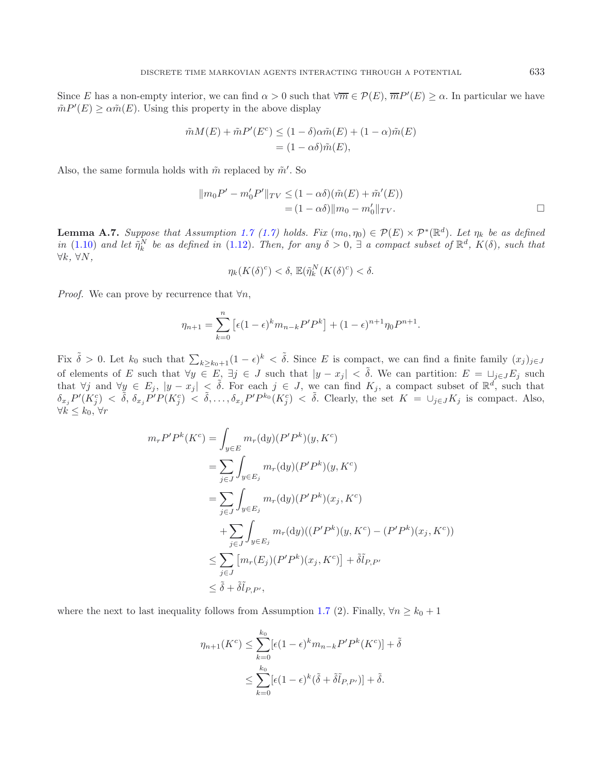Since E has a non-empty interior, we can find  $\alpha > 0$  such that  $\forall \overline{m} \in \mathcal{P}(E), \overline{m}P'(E) \geq \alpha$ . In particular we have  $\tilde{m}P'(E) \ge \alpha \tilde{m}(E)$ . Using this property in the above display

$$
\tilde{m}M(E) + \tilde{m}P'(E^c) \le (1 - \delta)\alpha \tilde{m}(E) + (1 - \alpha)\tilde{m}(E)
$$
  
=  $(1 - \alpha\delta)\tilde{m}(E)$ ,

Also, the same formula holds with  $\tilde{m}$  replaced by  $\tilde{m}'$ . So

$$
||m_0P' - m'_0P'||_{TV} \le (1 - \alpha\delta)(\tilde{m}(E) + \tilde{m}'(E))
$$
  
=  $(1 - \alpha\delta)||m_0 - m'_0||_{TV}.$ 

**Lemma A.7.** *Suppose that Assumption [1.7](#page-5-4)* [\(1.7\)](#page-5-4) *holds.* Fix  $(m_0, \eta_0) \in \mathcal{P}(E) \times \mathcal{P}^*(\mathbb{R}^d)$ . Let  $\eta_k$  be as defined *in* [\(1.10\)](#page-4-3) and let  $\tilde{\eta}_k^N$  be as defined in [\(1.12\)](#page-7-2). Then, for any  $\delta > 0$ ,  $\exists$  a compact subset of  $\mathbb{R}^d$ ,  $K(\delta)$ , such that ∀k*,* ∀N*,*

$$
\eta_k(K(\delta)^c) < \delta, \, \mathbb{E}(\tilde{\eta}_k^N(K(\delta)^c) < \delta.
$$

*Proof.* We can prove by recurrence that  $\forall n$ ,

$$
\eta_{n+1} = \sum_{k=0}^{n} \left[ \epsilon (1 - \epsilon)^k m_{n-k} P' P^k \right] + (1 - \epsilon)^{n+1} \eta_0 P^{n+1}.
$$

Fix  $\tilde{\delta} > 0$ . Let  $k_0$  such that  $\sum_{k \geq k_0+1} (1 - \epsilon)^k < \tilde{\delta}$ . Since E is compact, we can find a finite family  $(x_j)_{j \in J}$ of elements of E such that  $\forall y \in E$ ,  $\exists j \in J$  such that  $|y - x_j| < \tilde{\delta}$ . We can partition:  $E = \sqcup_{j \in J} E_j$  such that  $\forall j$  and  $\forall y \in E_j$ ,  $|y - x_j| < \tilde{\delta}$ . For each  $j \in J$ , we can find  $K_j$ , a compact subset of  $\mathbb{R}^d$ , such that  $\delta_{x_j}P'(K_j^c) < \tilde{\delta}, \delta_{x_j}P'P(K_j^c) < \tilde{\delta}, \ldots, \delta_{x_j}P'P^{k_0}(K_j^c) < \tilde{\delta}.$  Clearly, the set  $K = \cup_{j\in J}K_j$  is compact. Also,  $\forall k$  ≤  $k_0$ ,  $\forall r$ 

$$
m_r P' P^k(K^c) = \int_{y \in E} m_r(\mathrm{d}y) (P' P^k)(y, K^c)
$$
  
\n
$$
= \sum_{j \in J} \int_{y \in E_j} m_r(\mathrm{d}y) (P' P^k)(y, K^c)
$$
  
\n
$$
= \sum_{j \in J} \int_{y \in E_j} m_r(\mathrm{d}y) (P' P^k)(x_j, K^c)
$$
  
\n
$$
+ \sum_{j \in J} \int_{y \in E_j} m_r(\mathrm{d}y) ((P' P^k)(y, K^c) - (P' P^k)(x_j, K^c))
$$
  
\n
$$
\leq \sum_{j \in J} [m_r(E_j) (P' P^k)(x_j, K^c)] + \tilde{\delta} \tilde{l}_{P, P'}
$$
  
\n
$$
\leq \tilde{\delta} + \tilde{\delta} \tilde{l}_{P, P'},
$$

where the next to last inequality follows from Assumption [1.7](#page-5-4) (2). Finally,  $\forall n \geq k_0 + 1$ 

$$
\eta_{n+1}(K^c) \le \sum_{k=0}^{k_0} [\epsilon (1-\epsilon)^k m_{n-k} P' P^k(K^c)] + \tilde{\delta}
$$
  

$$
\le \sum_{k=0}^{k_0} [\epsilon (1-\epsilon)^k (\tilde{\delta} + \tilde{\delta} \tilde{l}_{P,P'})] + \tilde{\delta}.
$$